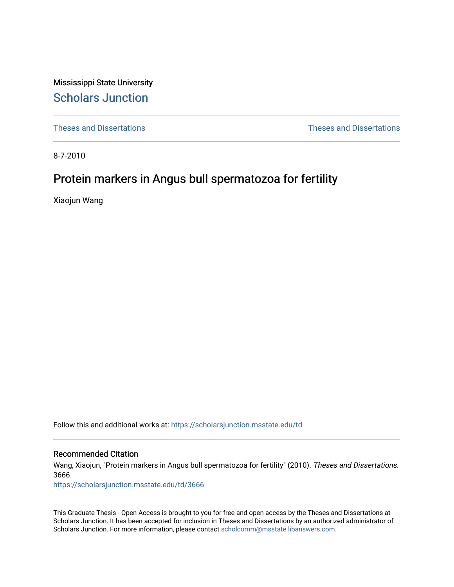Mississippi State University [Scholars Junction](https://scholarsjunction.msstate.edu/) 

[Theses and Dissertations](https://scholarsjunction.msstate.edu/td) [Theses and Dissertations](https://scholarsjunction.msstate.edu/theses-dissertations) 

8-7-2010

# Protein markers in Angus bull spermatozoa for fertility

Xiaojun Wang

Follow this and additional works at: [https://scholarsjunction.msstate.edu/td](https://scholarsjunction.msstate.edu/td?utm_source=scholarsjunction.msstate.edu%2Ftd%2F3666&utm_medium=PDF&utm_campaign=PDFCoverPages) 

#### Recommended Citation

Wang, Xiaojun, "Protein markers in Angus bull spermatozoa for fertility" (2010). Theses and Dissertations. 3666.

[https://scholarsjunction.msstate.edu/td/3666](https://scholarsjunction.msstate.edu/td/3666?utm_source=scholarsjunction.msstate.edu%2Ftd%2F3666&utm_medium=PDF&utm_campaign=PDFCoverPages) 

This Graduate Thesis - Open Access is brought to you for free and open access by the Theses and Dissertations at Scholars Junction. It has been accepted for inclusion in Theses and Dissertations by an authorized administrator of Scholars Junction. For more information, please contact [scholcomm@msstate.libanswers.com.](mailto:scholcomm@msstate.libanswers.com)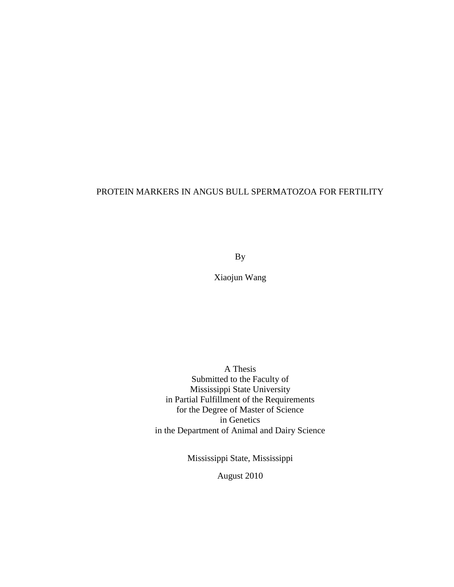## PROTEIN MARKERS IN ANGUS BULL SPERMATOZOA FOR FERTILITY

By

Xiaojun Wang

A Thesis Submitted to the Faculty of Mississippi State University in Partial Fulfillment of the Requirements for the Degree of Master of Science in Genetics in the Department of Animal and Dairy Science

Mississippi State, Mississippi

August 2010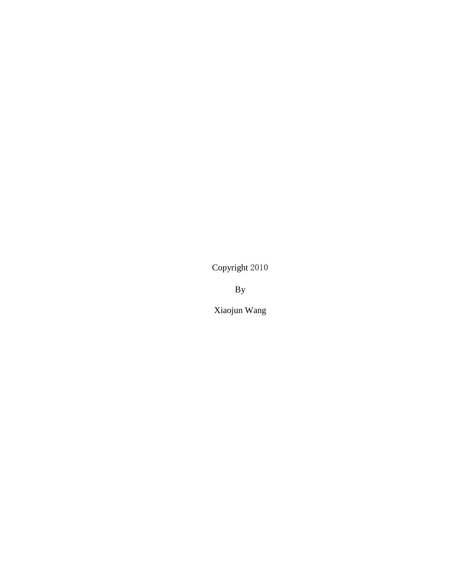Copyright 2010

By

Xiaojun Wang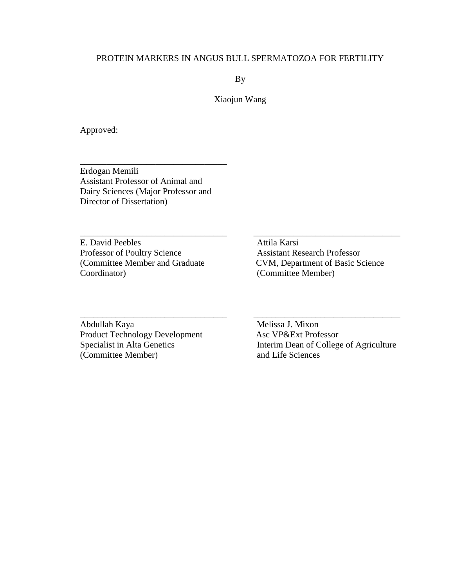## PROTEIN MARKERS IN ANGUS BULL SPERMATOZOA FOR FERTILITY

By

Xiaojun Wang

 $\_$  , and the set of the set of the set of the set of the set of the set of the set of the set of the set of the set of the set of the set of the set of the set of the set of the set of the set of the set of the set of th

\_\_\_\_\_\_\_\_\_\_\_\_\_\_\_\_\_\_\_\_\_\_\_\_\_\_\_\_\_\_\_\_\_ \_\_\_\_\_\_\_\_\_\_\_\_\_\_\_\_\_\_\_\_\_\_\_\_\_\_\_\_\_\_\_\_\_

Approved:

Erdogan Memili Assistant Professor of Animal and Dairy Sciences (Major Professor and Director of Dissertation)

\_\_\_\_\_\_\_\_\_\_\_\_\_\_\_\_\_\_\_\_\_\_\_\_\_\_\_\_\_\_\_\_\_

E. David Peebles Attila Karsi Professor of Poultry Science Assistant Research Professor Coordinator) (Committee Member)

(Committee Member and Graduate CVM, Department of Basic Science

Abdullah Kaya<br>
Product Technology Development<br>
Asc VP&Ext Professor Product Technology Development<br>Specialist in Alta Genetics (Committee Member) and Life Sciences

Interim Dean of College of Agriculture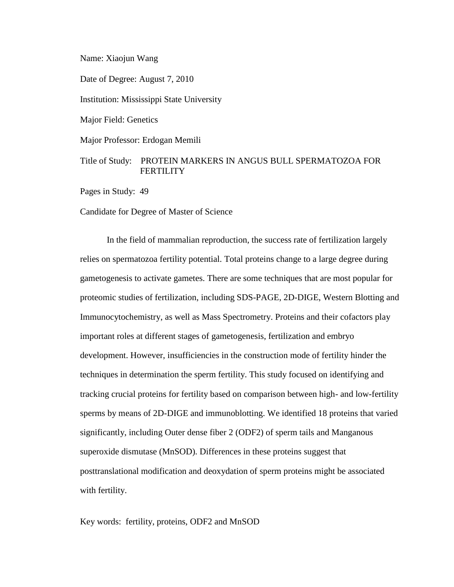Name: Xiaojun Wang

Date of Degree: August 7, 2010

Institution: Mississippi State University

Major Field: Genetics

Major Professor: Erdogan Memili

## Title of Study: PROTEIN MARKERS IN ANGUS BULL SPERMATOZOA FOR **FERTILITY**

Pages in Study: 49

Candidate for Degree of Master of Science

In the field of mammalian reproduction, the success rate of fertilization largely relies on spermatozoa fertility potential. Total proteins change to a large degree during gametogenesis to activate gametes. There are some techniques that are most popular for proteomic studies of fertilization, including SDS-PAGE, 2D-DIGE, Western Blotting and Immunocytochemistry, as well as Mass Spectrometry. Proteins and their cofactors play important roles at different stages of gametogenesis, fertilization and embryo development. However, insufficiencies in the construction mode of fertility hinder the techniques in determination the sperm fertility. This study focused on identifying and tracking crucial proteins for fertility based on comparison between high- and low-fertility sperms by means of 2D-DIGE and immunoblotting. We identified 18 proteins that varied significantly, including Outer dense fiber 2 (ODF2) of sperm tails and Manganous superoxide dismutase (MnSOD). Differences in these proteins suggest that posttranslational modification and deoxydation of sperm proteins might be associated with fertility.

Key words: fertility, proteins, ODF2 and MnSOD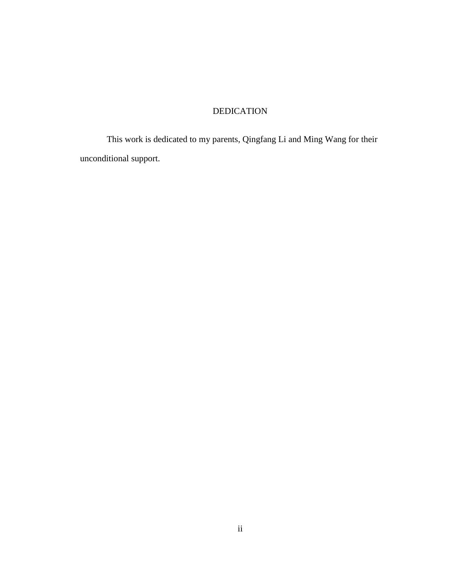## DEDICATION

<span id="page-5-0"></span>This work is dedicated to my parents, Qingfang Li and Ming Wang for their unconditional support.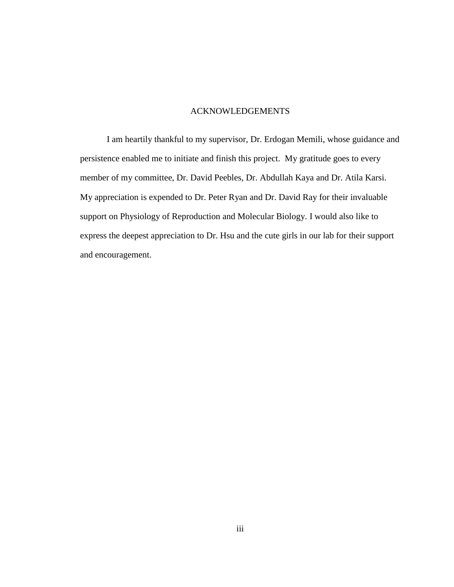### ACKNOWLEDGEMENTS

<span id="page-6-0"></span>I am heartily thankful to my supervisor, Dr. Erdogan Memili, whose guidance and persistence enabled me to initiate and finish this project. My gratitude goes to every member of my committee, Dr. David Peebles, Dr. Abdullah Kaya and Dr. Atila Karsi. My appreciation is expended to Dr. Peter Ryan and Dr. David Ray for their invaluable support on Physiology of Reproduction and Molecular Biology. I would also like to express the deepest appreciation to Dr. Hsu and the cute girls in our lab for their support and encouragement.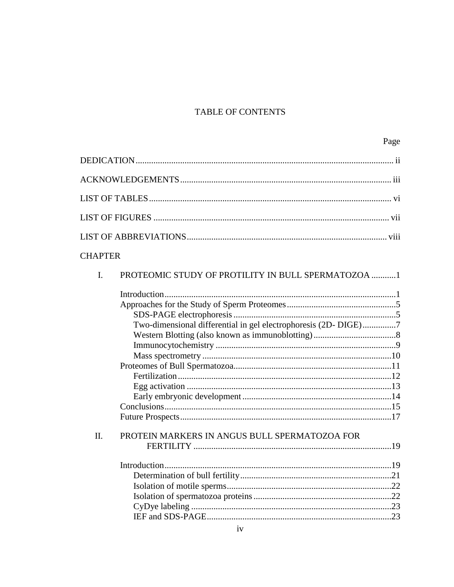## TABLE OF CONTENTS

| <b>CHAPTER</b> |                                                                 |  |
|----------------|-----------------------------------------------------------------|--|
| I.             | PROTEOMIC STUDY OF PROTILITY IN BULL SPERMATOZOA 1              |  |
|                | Two-dimensional differential in gel electrophoresis (2D- DIGE)7 |  |
| Π.             | PROTEIN MARKERS IN ANGUS BULL SPERMATOZOA FOR                   |  |
|                |                                                                 |  |
|                |                                                                 |  |
|                |                                                                 |  |
|                |                                                                 |  |
|                |                                                                 |  |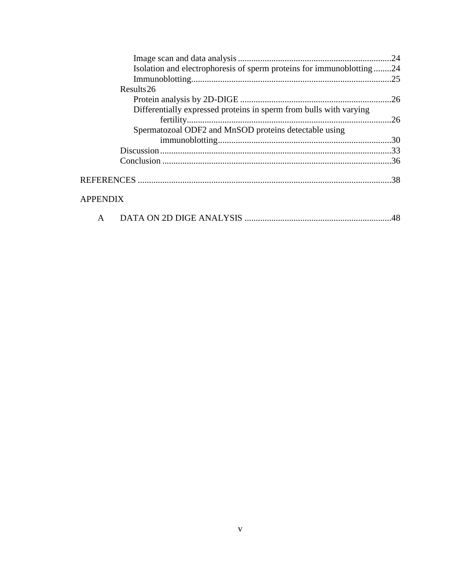| Isolation and electrophoresis of sperm proteins for immunobilotting24 |  |
|-----------------------------------------------------------------------|--|
|                                                                       |  |
| Results 26                                                            |  |
|                                                                       |  |
| Differentially expressed proteins in sperm from bulls with varying    |  |
|                                                                       |  |
| Spermatozoal ODF2 and MnSOD proteins detectable using                 |  |
|                                                                       |  |
|                                                                       |  |
|                                                                       |  |
|                                                                       |  |
|                                                                       |  |

## **APPENDIX**

|--|--|--|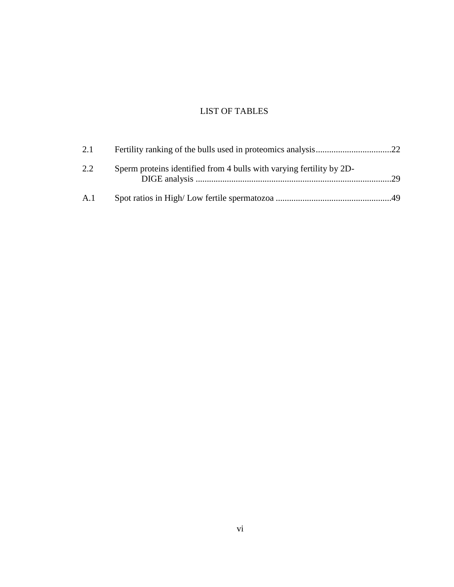# LIST OF TABLES

<span id="page-9-0"></span>

| 2.1 |                                                                      |     |
|-----|----------------------------------------------------------------------|-----|
| 2.2 | Sperm proteins identified from 4 bulls with varying fertility by 2D- | .29 |
| A.1 |                                                                      |     |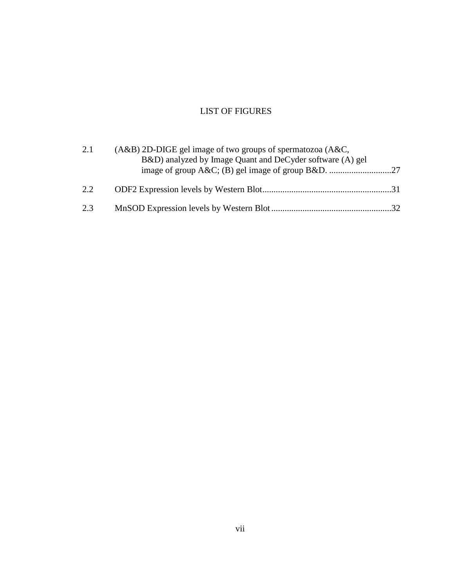## LIST OF FIGURES

<span id="page-10-0"></span>

| 2.1 | $(A&B)$ 2D-DIGE gel image of two groups of spermatozoa $(A&C)$ , |  |
|-----|------------------------------------------------------------------|--|
|     | B&D) analyzed by Image Quant and DeCyder software (A) gel        |  |
|     |                                                                  |  |
| 2.2 |                                                                  |  |
| 2.3 |                                                                  |  |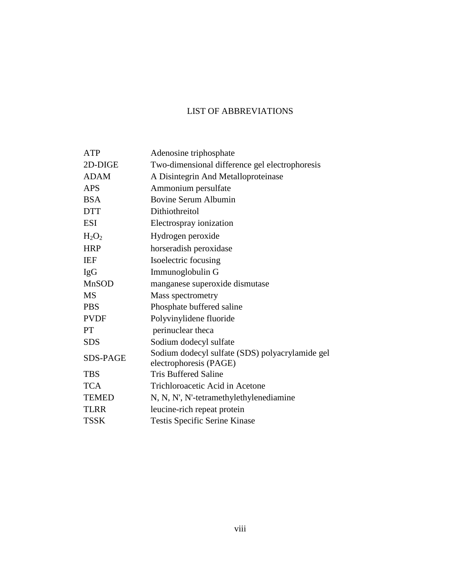## LIST OF ABBREVIATIONS

<span id="page-11-0"></span>

| <b>ATP</b>      | Adenosine triphosphate                          |
|-----------------|-------------------------------------------------|
| 2D-DIGE         | Two-dimensional difference gel electrophoresis  |
| <b>ADAM</b>     | A Disintegrin And Metalloproteinase             |
| <b>APS</b>      | Ammonium persulfate                             |
| <b>BSA</b>      | Bovine Serum Albumin                            |
| <b>DTT</b>      | Dithiothreitol                                  |
| <b>ESI</b>      | Electrospray ionization                         |
| $H_2O_2$        | Hydrogen peroxide                               |
| <b>HRP</b>      | horseradish peroxidase                          |
| <b>IEF</b>      | Isoelectric focusing                            |
| <b>IgG</b>      | Immunoglobulin G                                |
| <b>MnSOD</b>    | manganese superoxide dismutase                  |
| <b>MS</b>       | Mass spectrometry                               |
| <b>PBS</b>      | Phosphate buffered saline                       |
| <b>PVDF</b>     | Polyvinylidene fluoride                         |
| <b>PT</b>       | perinuclear theca                               |
| <b>SDS</b>      | Sodium dodecyl sulfate                          |
| <b>SDS-PAGE</b> | Sodium dodecyl sulfate (SDS) polyacrylamide gel |
|                 | electrophoresis (PAGE)                          |
| <b>TBS</b>      | <b>Tris Buffered Saline</b>                     |
| <b>TCA</b>      | Trichloroacetic Acid in Acetone                 |
| <b>TEMED</b>    | N, N, N', N'-tetramethylethylenediamine         |
| <b>TLRR</b>     | leucine-rich repeat protein                     |
| <b>TSSK</b>     | <b>Testis Specific Serine Kinase</b>            |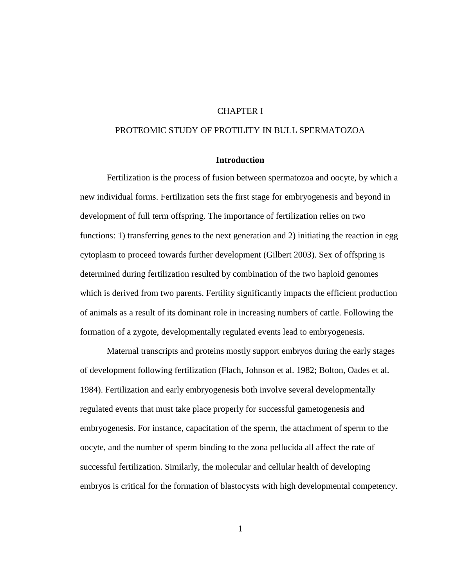## CHAPTER I

## <span id="page-12-1"></span><span id="page-12-0"></span>PROTEOMIC STUDY OF PROTILITY IN BULL SPERMATOZOA

## **Introduction**

<span id="page-12-2"></span>Fertilization is the process of fusion between spermatozoa and oocyte, by which a new individual forms. Fertilization sets the first stage for embryogenesis and beyond in development of full term offspring. The importance of fertilization relies on two functions: 1) transferring genes to the next generation and 2) initiating the reaction in egg cytoplasm to proceed towards further development (Gilbert 2003). Sex of offspring is determined during fertilization resulted by combination of the two haploid genomes which is derived from two parents. Fertility significantly impacts the efficient production of animals as a result of its dominant role in increasing numbers of cattle. Following the formation of a zygote, developmentally regulated events lead to embryogenesis.

Maternal transcripts and proteins mostly support embryos during the early stages of development following fertilization (Flach, Johnson et al. 1982; Bolton, Oades et al. 1984). Fertilization and early embryogenesis both involve several developmentally regulated events that must take place properly for successful gametogenesis and embryogenesis. For instance, capacitation of the sperm, the attachment of sperm to the oocyte, and the number of sperm binding to the zona pellucida all affect the rate of successful fertilization. Similarly, the molecular and cellular health of developing embryos is critical for the formation of blastocysts with high developmental competency.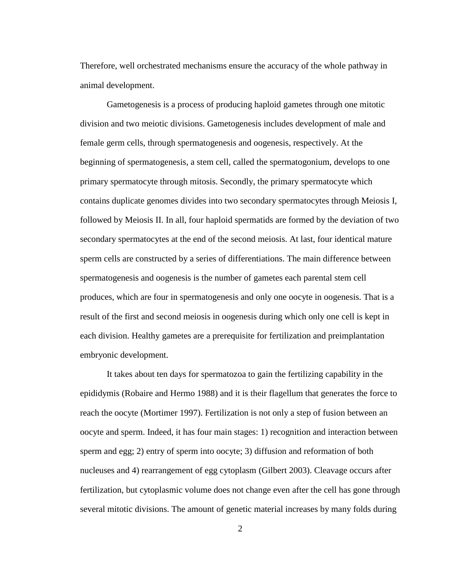Therefore, well orchestrated mechanisms ensure the accuracy of the whole pathway in animal development.

Gametogenesis is a process of producing haploid gametes through one mitotic division and two meiotic divisions. Gametogenesis includes development of male and female germ cells, through spermatogenesis and oogenesis, respectively. At the beginning of spermatogenesis, a stem cell, called the spermatogonium, develops to one primary spermatocyte through mitosis. Secondly, the primary spermatocyte which contains duplicate genomes divides into two secondary spermatocytes through Meiosis I, followed by Meiosis II. In all, four haploid spermatids are formed by the deviation of two secondary spermatocytes at the end of the second meiosis. At last, four identical mature sperm cells are constructed by a series of differentiations. The main difference between spermatogenesis and oogenesis is the number of gametes each parental stem cell produces, which are four in spermatogenesis and only one oocyte in oogenesis. That is a result of the first and second meiosis in oogenesis during which only one cell is kept in each division. Healthy gametes are a prerequisite for fertilization and preimplantation embryonic development.

It takes about ten days for spermatozoa to gain the fertilizing capability in the epididymis (Robaire and Hermo 1988) and it is their flagellum that generates the force to reach the oocyte (Mortimer 1997). Fertilization is not only a step of fusion between an oocyte and sperm. Indeed, it has four main stages: 1) recognition and interaction between sperm and egg; 2) entry of sperm into oocyte; 3) diffusion and reformation of both nucleuses and 4) rearrangement of egg cytoplasm (Gilbert 2003). Cleavage occurs after fertilization, but cytoplasmic volume does not change even after the cell has gone through several mitotic divisions. The amount of genetic material increases by many folds during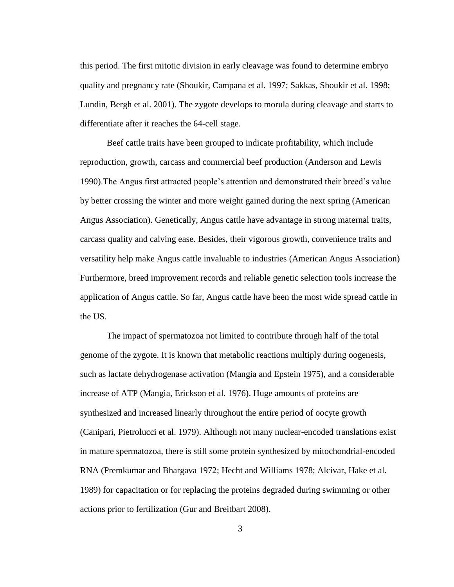this period. The first mitotic division in early cleavage was found to determine embryo quality and pregnancy rate (Shoukir, Campana et al. 1997; Sakkas, Shoukir et al. 1998; Lundin, Bergh et al. 2001). The zygote develops to morula during cleavage and starts to differentiate after it reaches the 64-cell stage.

Beef cattle traits have been grouped to indicate profitability, which include reproduction, growth, carcass and commercial beef production (Anderson and Lewis 1990).The Angus first attracted people's attention and demonstrated their breed's value by better crossing the winter and more weight gained during the next spring (American Angus Association). Genetically, Angus cattle have advantage in strong maternal traits, carcass quality and calving ease. Besides, their vigorous growth, convenience traits and versatility help make Angus cattle invaluable to industries (American Angus Association) Furthermore, breed improvement records and reliable genetic selection tools increase the application of Angus cattle. So far, Angus cattle have been the most wide spread cattle in the US.

The impact of spermatozoa not limited to contribute through half of the total genome of the zygote. It is known that metabolic reactions multiply during oogenesis, such as lactate dehydrogenase activation (Mangia and Epstein 1975), and a considerable increase of ATP (Mangia, Erickson et al. 1976). Huge amounts of proteins are synthesized and increased linearly throughout the entire period of oocyte growth (Canipari, Pietrolucci et al. 1979). Although not many nuclear-encoded translations exist in mature spermatozoa, there is still some protein synthesized by mitochondrial-encoded RNA (Premkumar and Bhargava 1972; Hecht and Williams 1978; Alcivar, Hake et al. 1989) for capacitation or for replacing the proteins degraded during swimming or other actions prior to fertilization (Gur and Breitbart 2008).

3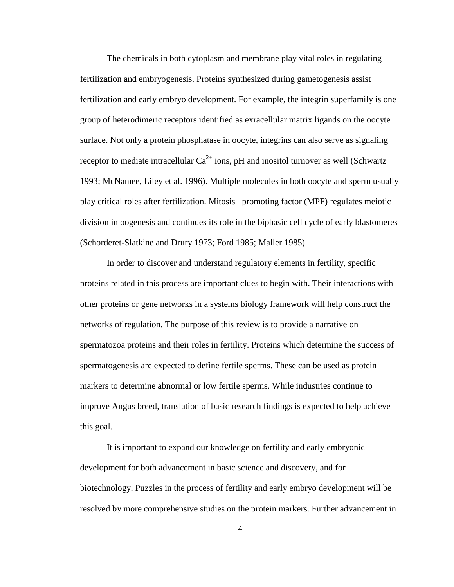The chemicals in both cytoplasm and membrane play vital roles in regulating fertilization and embryogenesis. Proteins synthesized during gametogenesis assist fertilization and early embryo development. For example, the integrin superfamily is one group of heterodimeric receptors identified as exracellular matrix ligands on the oocyte surface. Not only a protein phosphatase in oocyte, integrins can also serve as signaling receptor to mediate intracellular  $Ca^{2+}$  ions, pH and inositol turnover as well (Schwartz 1993; McNamee, Liley et al. 1996). Multiple molecules in both oocyte and sperm usually play critical roles after fertilization. Mitosis –promoting factor (MPF) regulates meiotic division in oogenesis and continues its role in the biphasic cell cycle of early blastomeres (Schorderet-Slatkine and Drury 1973; Ford 1985; Maller 1985).

In order to discover and understand regulatory elements in fertility, specific proteins related in this process are important clues to begin with. Their interactions with other proteins or gene networks in a systems biology framework will help construct the networks of regulation. The purpose of this review is to provide a narrative on spermatozoa proteins and their roles in fertility. Proteins which determine the success of spermatogenesis are expected to define fertile sperms. These can be used as protein markers to determine abnormal or low fertile sperms. While industries continue to improve Angus breed, translation of basic research findings is expected to help achieve this goal.

It is important to expand our knowledge on fertility and early embryonic development for both advancement in basic science and discovery, and for biotechnology. Puzzles in the process of fertility and early embryo development will be resolved by more comprehensive studies on the protein markers. Further advancement in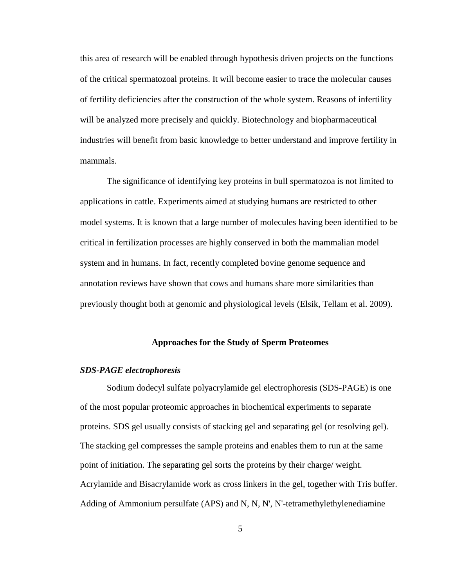this area of research will be enabled through hypothesis driven projects on the functions of the critical spermatozoal proteins. It will become easier to trace the molecular causes of fertility deficiencies after the construction of the whole system. Reasons of infertility will be analyzed more precisely and quickly. Biotechnology and biopharmaceutical industries will benefit from basic knowledge to better understand and improve fertility in mammals.

The significance of identifying key proteins in bull spermatozoa is not limited to applications in cattle. Experiments aimed at studying humans are restricted to other model systems. It is known that a large number of molecules having been identified to be critical in fertilization processes are highly conserved in both the mammalian model system and in humans. In fact, recently completed bovine genome sequence and annotation reviews have shown that cows and humans share more similarities than previously thought both at genomic and physiological levels (Elsik, Tellam et al. 2009).

## **Approaches for the Study of Sperm Proteomes**

### <span id="page-16-1"></span><span id="page-16-0"></span>*SDS-PAGE electrophoresis*

[Sodium dodecyl sulfate](http://en.wikipedia.org/wiki/Sodium_dodecyl_sulfate) [polyacrylamide gel](http://en.wikipedia.org/wiki/Polyacrylamide_gel) [electrophoresis](http://en.wikipedia.org/wiki/Electrophoresis) (SDS-PAGE) is one of the most popular proteomic approaches in biochemical experiments to separate proteins. SDS gel usually consists of stacking gel and separating gel (or resolving gel). The stacking gel compresses the sample proteins and enables them to run at the same point of initiation. The separating gel sorts the proteins by their charge/ weight. [Acrylamide](http://en.wikipedia.org/wiki/Acrylamide) and Bisacrylamide work as cross linkers in the gel, together with Tris buffer. Adding of [Ammonium persulfate](http://en.wikipedia.org/wiki/Ammonium_persulfate) (APS) and N, N, N', N'-tetramethylethylenediamine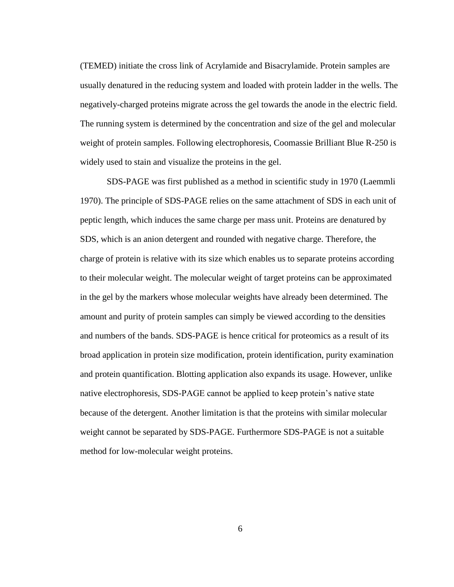[\(TEMED\)](http://en.wikipedia.org/wiki/TEMED) initiate the cross link of [Acrylamide](http://en.wikipedia.org/wiki/Acrylamide) and Bisacrylamide. Protein samples are usually denatured in the reducing system and loaded with protein ladder in the wells. The negatively-charged proteins migrate across the gel towards the anode in the electric field. The running system is determined by the concentration and size of the gel and molecular weight of protein samples. Following electrophoresis, [Coomassie Brilliant Blue](http://en.wikipedia.org/wiki/Coomassie) R-250 is widely used to stain and visualize the proteins in the gel.

SDS-PAGE was first published as a method in scientific study in 1970 (Laemmli 1970). The principle of SDS-PAGE relies on the same attachment of SDS in each unit of peptic length, which induces the same charge per mass unit. Proteins are denatured by SDS, which is an anion detergent and rounded with negative charge. Therefore, the charge of protein is relative with its size which enables us to separate proteins according to their molecular weight. The molecular weight of target proteins can be approximated in the gel by the markers whose molecular weights have already been determined. The amount and purity of protein samples can simply be viewed according to the densities and numbers of the bands. SDS-PAGE is hence critical for proteomics as a result of its broad application in protein size modification, protein identification, purity examination and protein quantification. Blotting application also expands its usage. However, unlike native electrophoresis, SDS-PAGE cannot be applied to keep protein's native state because of the detergent. Another limitation is that the proteins with similar molecular weight cannot be separated by SDS-PAGE. Furthermore SDS-PAGE is not a suitable method for low-molecular weight proteins.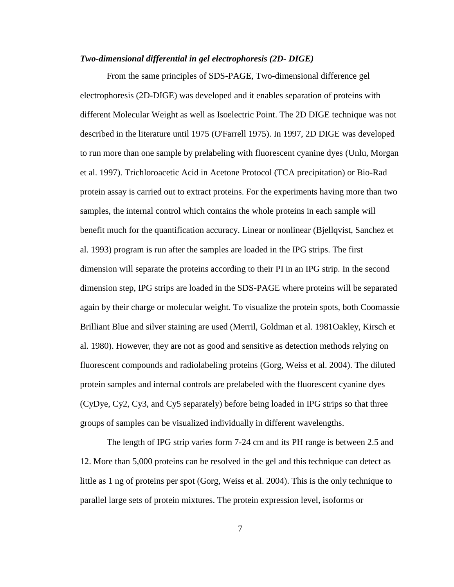#### <span id="page-18-0"></span>*Two-dimensional differential in gel electrophoresis (2D- DIGE)*

From the same principles of SDS-PAGE, Two-dimensional difference gel electrophoresis (2D-DIGE) was developed and it enables separation of proteins with different Molecular Weight as well as Isoelectric Point. The 2D DIGE technique was not described in the literature until 1975 (O'Farrell 1975). In 1997, 2D DIGE was developed to run more than one sample by prelabeling with fluorescent cyanine dyes (Unlu, Morgan et al. 1997). Trichloroacetic Acid in Acetone Protocol (TCA precipitation) or Bio-Rad protein assay is carried out to extract proteins. For the experiments having more than two samples, the internal control which contains the whole proteins in each sample will benefit much for the quantification accuracy. Linear or nonlinear (Bjellqvist, Sanchez et al. 1993) program is run after the samples are loaded in the IPG strips. The first dimension will separate the proteins according to their PI in an IPG strip. In the second dimension step, IPG strips are loaded in the SDS-PAGE where proteins will be separated again by their charge or molecular weight. To visualize the protein spots, both [Coomassie](http://en.wikipedia.org/wiki/Coomassie)  [Brilliant Blue](http://en.wikipedia.org/wiki/Coomassie) and silver staining are used (Merril, Goldman et al. 1981Oakley, Kirsch et al. 1980). However, they are not as good and sensitive as detection methods relying on fluorescent compounds and radiolabeling proteins (Gorg, Weiss et al. 2004). The diluted protein samples and internal controls are prelabeled with the fluorescent cyanine dyes (CyDye, Cy2, Cy3, and Cy5 separately) before being loaded in IPG strips so that three groups of samples can be visualized individually in different wavelengths.

The length of IPG strip varies form 7-24 cm and its PH range is between 2.5 and 12. More than 5,000 proteins can be resolved in the gel and this technique can detect as little as 1 ng of proteins per spot (Gorg, Weiss et al. 2004). This is the only technique to parallel large sets of protein mixtures. The protein expression level, isoforms or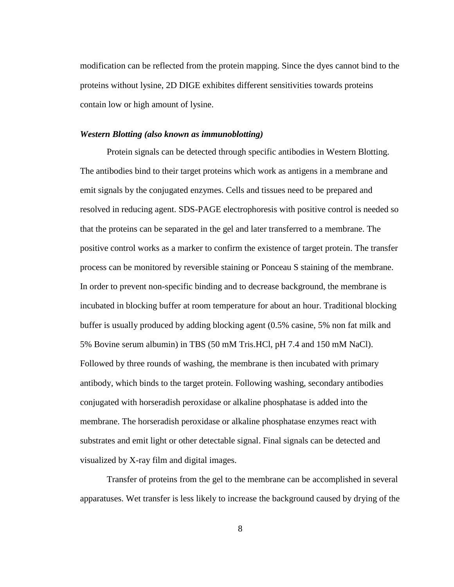modification can be reflected from the protein mapping. Since the dyes cannot bind to the proteins without lysine, 2D DIGE exhibites different sensitivities towards proteins contain low or high amount of lysine.

#### <span id="page-19-0"></span>*Western Blotting (also known as immunoblotting)*

Protein signals can be detected through specific antibodies in Western Blotting. The antibodies bind to their target proteins which work as antigens in a membrane and emit signals by the conjugated enzymes. Cells and tissues need to be prepared and resolved in reducing agent. SDS-PAGE electrophoresis with positive control is needed so that the proteins can be separated in the gel and later transferred to a membrane. The positive control works as a marker to confirm the existence of target protein. The transfer process can be monitored by reversible staining or Ponceau S staining of the membrane. In order to prevent non-specific binding and to decrease background, the membrane is incubated in blocking buffer at room temperature for about an hour. Traditional blocking buffer is usually produced by adding blocking agent (0.5% casine, 5% non fat milk and 5% Bovine serum albumin) in TBS (50 mM Tris.HCl, pH 7.4 and 150 mM NaCl). Followed by three rounds of washing, the membrane is then incubated with primary antibody, which binds to the target protein. Following washing, secondary antibodies conjugated with horseradish peroxidase or alkaline phosphatase is added into the membrane. The horseradish peroxidase or alkaline phosphatase enzymes react with substrates and emit light or other detectable signal. Final signals can be detected and visualized by X-ray film and digital images.

Transfer of proteins from the gel to the membrane can be accomplished in several apparatuses. Wet transfer is less likely to increase the background caused by drying of the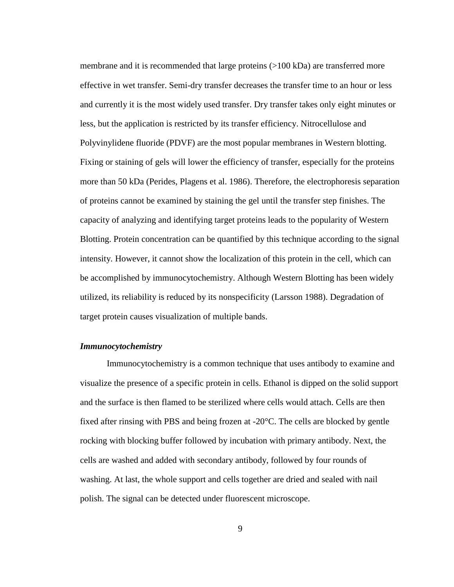membrane and it is recommended that large proteins (>100 kDa) are transferred more effective in wet transfer. Semi-dry transfer decreases the transfer time to an hour or less and currently it is the most widely used transfer. Dry transfer takes only eight minutes or less, but the application is restricted by its transfer efficiency. Nitrocellulose and Polyvinylidene fluoride (PDVF) are the most popular membranes in Western blotting. Fixing or staining of gels will lower the efficiency of transfer, especially for the proteins more than 50 kDa (Perides, Plagens et al. 1986). Therefore, the electrophoresis separation of proteins cannot be examined by staining the gel until the transfer step finishes. The capacity of analyzing and identifying target proteins leads to the popularity of Western Blotting. Protein concentration can be quantified by this technique according to the signal intensity. However, it cannot show the localization of this protein in the cell, which can be accomplished by immunocytochemistry. Although Western Blotting has been widely utilized, its reliability is reduced by its nonspecificity (Larsson 1988). Degradation of target protein causes visualization of multiple bands.

#### <span id="page-20-0"></span>*Immunocytochemistry*

Immunocytochemistry is a common technique that uses antibody to examine and visualize the presence of a specific protein in cells. Ethanol is dipped on the solid support and the surface is then flamed to be sterilized where cells would attach. Cells are then fixed after rinsing with PBS and being frozen at  $-20 \text{ C}$ . The cells are blocked by gentle rocking with blocking buffer followed by incubation with primary antibody. Next, the cells are washed and added with secondary antibody, followed by four rounds of washing. At last, the whole support and cells together are dried and sealed with nail polish. The signal can be detected under fluorescent microscope.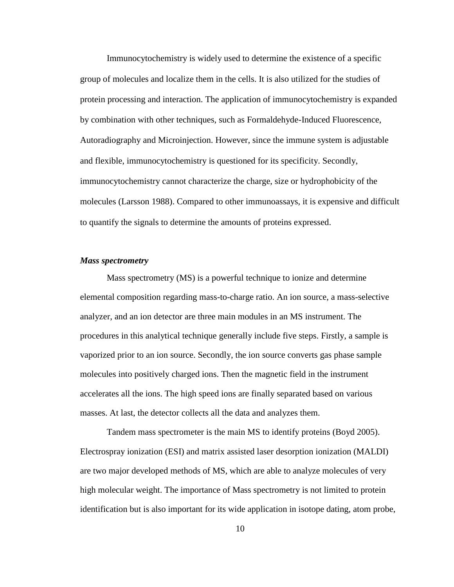Immunocytochemistry is widely used to determine the existence of a specific group of molecules and localize them in the cells. It is also utilized for the studies of protein processing and interaction. The application of immunocytochemistry is expanded by combination with other techniques, such as Formaldehyde-Induced Fluorescence, Autoradiography and Microinjection. However, since the immune system is adjustable and flexible, immunocytochemistry is questioned for its specificity. Secondly, immunocytochemistry cannot characterize the charge, size or hydrophobicity of the molecules (Larsson 1988). Compared to other immunoassays, it is expensive and difficult to quantify the signals to determine the amounts of proteins expressed.

## <span id="page-21-0"></span>*Mass spectrometry*

Mass spectrometry (MS) is a powerful technique to ionize and determine elemental composition regarding mass-to-charge ratio. An ion source, a mass-selective analyzer, and an ion detector are three main modules in an MS instrument. The procedures in this analytical technique generally include five steps. Firstly, a sample is vaporized prior to an ion source. Secondly, the ion source converts gas phase sample molecules into positively charged ions. Then the magnetic field in the instrument accelerates all the ions. The high speed ions are finally separated based on various masses. At last, the detector collects all the data and analyzes them.

Tandem mass spectrometer is the main MS to identify proteins (Boyd 2005). Electrospray ionization (ESI) and matrix assisted laser desorption ionization (MALDI) are two major developed methods of MS, which are able to analyze molecules of very high molecular weight. The importance of Mass spectrometry is not limited to protein identification but is also important for its wide application in isotope dating, atom probe,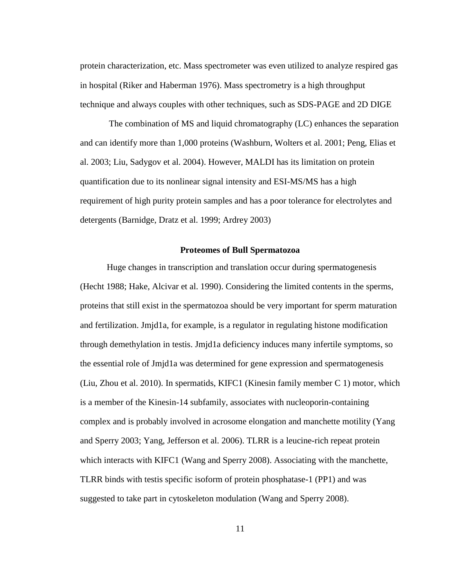protein characterization, etc. Mass spectrometer was even utilized to analyze respired gas in hospital (Riker and Haberman 1976). Mass spectrometry is a high throughput technique and always couples with other techniques, such as SDS-PAGE and 2D DIGE

The combination of MS and liquid chromatography (LC) enhances the separation and can identify more than 1,000 proteins (Washburn, Wolters et al. 2001; Peng, Elias et al. 2003; Liu, Sadygov et al. 2004). However, MALDI has its limitation on protein quantification due to its nonlinear signal intensity and ESI-MS/MS has a high requirement of high purity protein samples and has a poor tolerance for electrolytes and detergents (Barnidge, Dratz et al. 1999; Ardrey 2003)

#### **Proteomes of Bull Spermatozoa**

<span id="page-22-0"></span>Huge changes in transcription and translation occur during spermatogenesis (Hecht 1988; Hake, Alcivar et al. 1990). Considering the limited contents in the sperms, proteins that still exist in the spermatozoa should be very important for sperm maturation and fertilization. Jmjd1a, for example, is a regulator in regulating histone modification through demethylation in testis. Jmjd1a deficiency induces many infertile symptoms, so the essential role of Jmjd1a was determined for gene expression and spermatogenesis (Liu, Zhou et al. 2010). In spermatids, KIFC1 (Kinesin family member C 1) motor, which is a member of the Kinesin-14 subfamily, associates with nucleoporin-containing complex and is probably involved in acrosome elongation and manchette motility (Yang and Sperry 2003; Yang, Jefferson et al. 2006). TLRR is a leucine-rich repeat protein which interacts with KIFC1 (Wang and Sperry 2008). Associating with the manchette, TLRR binds with testis specific isoform of protein phosphatase-1 (PP1) and was suggested to take part in cytoskeleton modulation (Wang and Sperry 2008).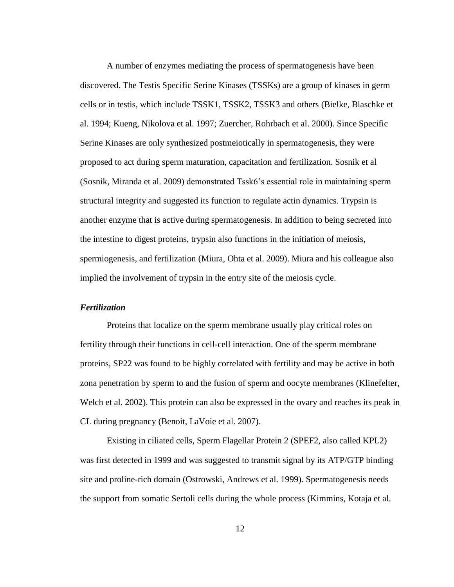A number of enzymes mediating the process of spermatogenesis have been discovered. The Testis Specific Serine Kinases (TSSKs) are a group of kinases in germ cells or in testis, which include TSSK1, TSSK2, TSSK3 and others (Bielke, Blaschke et al. 1994; Kueng, Nikolova et al. 1997; Zuercher, Rohrbach et al. 2000). Since Specific Serine Kinases are only synthesized postmeiotically in spermatogenesis, they were proposed to act during sperm maturation, capacitation and fertilization. Sosnik et al (Sosnik, Miranda et al. 2009) demonstrated Tssk6's essential role in maintaining sperm structural integrity and suggested its function to regulate actin dynamics. Trypsin is another enzyme that is active during spermatogenesis. In addition to being secreted into the intestine to digest proteins, trypsin also functions in the initiation of meiosis, spermiogenesis, and fertilization (Miura, Ohta et al. 2009). Miura and his colleague also implied the involvement of trypsin in the entry site of the meiosis cycle.

### <span id="page-23-0"></span>*Fertilization*

Proteins that localize on the sperm membrane usually play critical roles on fertility through their functions in cell-cell interaction. One of the sperm membrane proteins, SP22 was found to be highly correlated with fertility and may be active in both zona penetration by sperm to and the fusion of sperm and oocyte membranes (Klinefelter, Welch et al. 2002). This protein can also be expressed in the ovary and reaches its peak in CL during pregnancy (Benoit, LaVoie et al. 2007).

Existing in ciliated cells, Sperm Flagellar Protein 2 (SPEF2, also called KPL2) was first detected in 1999 and was suggested to transmit signal by its ATP/GTP binding site and proline-rich domain (Ostrowski, Andrews et al. 1999). Spermatogenesis needs the support from somatic Sertoli cells during the whole process (Kimmins, Kotaja et al.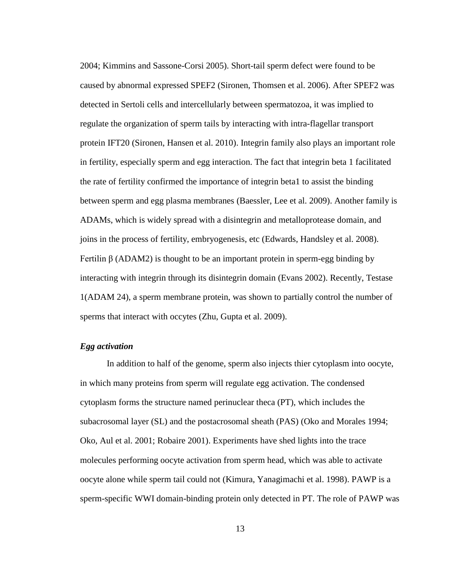2004; Kimmins and Sassone-Corsi 2005). Short-tail sperm defect were found to be caused by abnormal expressed SPEF2 (Sironen, Thomsen et al. 2006). After SPEF2 was detected in Sertoli cells and intercellularly between spermatozoa, it was implied to regulate the organization of sperm tails by interacting with intra-flagellar transport protein IFT20 (Sironen, Hansen et al. 2010). Integrin family also plays an important role in fertility, especially sperm and egg interaction. The fact that integrin beta 1 facilitated the rate of fertility confirmed the importance of integrin beta1 to assist the binding between sperm and egg plasma membranes (Baessler, Lee et al. 2009). Another family is ADAMs, which is widely spread with a disintegrin and metalloprotease domain, and joins in the process of fertility, embryogenesis, etc (Edwards, Handsley et al. 2008). Fertilin  $\beta$  (ADAM2) is thought to be an important protein in sperm-egg binding by interacting with integrin through its disintegrin domain (Evans 2002). Recently, Testase 1(ADAM 24), a sperm membrane protein, was shown to partially control the number of sperms that interact with occytes (Zhu, Gupta et al. 2009).

## <span id="page-24-0"></span>*Egg activation*

In addition to half of the genome, sperm also injects thier cytoplasm into oocyte, in which many proteins from sperm will regulate egg activation. The condensed cytoplasm forms the structure named perinuclear theca (PT), which includes the subacrosomal layer (SL) and the postacrosomal sheath (PAS) (Oko and Morales 1994; Oko, Aul et al. 2001; Robaire 2001). Experiments have shed lights into the trace molecules performing oocyte activation from sperm head, which was able to activate oocyte alone while sperm tail could not (Kimura, Yanagimachi et al. 1998). PAWP is a sperm-specific WWI domain-binding protein only detected in PT. The role of PAWP was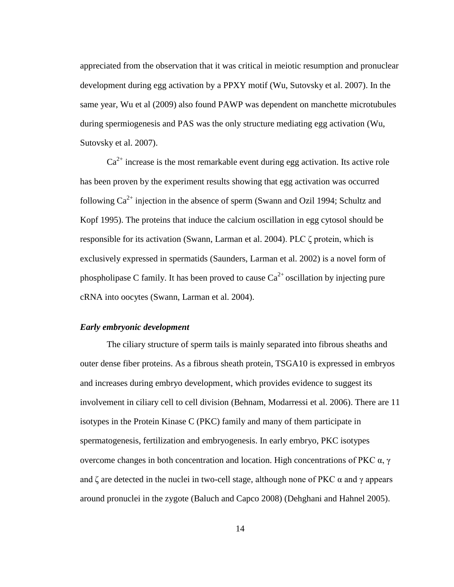appreciated from the observation that it was critical in meiotic resumption and pronuclear development during egg activation by a PPXY motif (Wu, Sutovsky et al. 2007). In the same year, Wu et al (2009) also found PAWP was dependent on manchette microtubules during spermiogenesis and PAS was the only structure mediating egg activation (Wu, Sutovsky et al. 2007).

 $Ca<sup>2+</sup>$  increase is the most remarkable event during egg activation. Its active role has been proven by the experiment results showing that egg activation was occurred following  $Ca^{2+}$  injection in the absence of sperm (Swann and Ozil 1994; Schultz and Kopf 1995). The proteins that induce the calcium oscillation in egg cytosol should be responsible for its activation (Swann, Larman et al. 2004). PLC  $\zeta$  protein, which is exclusively expressed in spermatids (Saunders, Larman et al. 2002) is a novel form of phospholipase C family. It has been proved to cause  $Ca^{2+}$  oscillation by injecting pure cRNA into oocytes (Swann, Larman et al. 2004).

#### <span id="page-25-0"></span>*Early embryonic development*

The ciliary structure of sperm tails is mainly separated into fibrous sheaths and outer dense fiber proteins. As a fibrous sheath protein, TSGA10 is expressed in embryos and increases during embryo development, which provides evidence to suggest its involvement in ciliary cell to cell division (Behnam, Modarressi et al. 2006). There are 11 isotypes in the Protein Kinase C (PKC) family and many of them participate in spermatogenesis, fertilization and embryogenesis. In early embryo, PKC isotypes overcome changes in both concentration and location. High concentrations of PKC  $α$ , γ and  $\zeta$  are detected in the nuclei in two-cell stage, although none of PKC  $\alpha$  and  $\gamma$  appears around pronuclei in the zygote (Baluch and Capco 2008) (Dehghani and Hahnel 2005).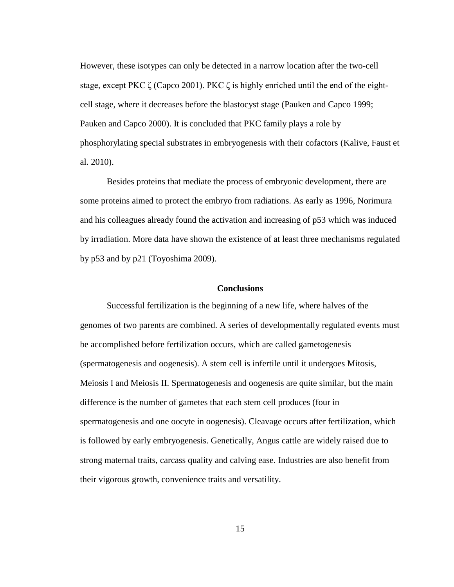However, these isotypes can only be detected in a narrow location after the two-cell stage, except PKC  $\zeta$  (Capco 2001). PKC  $\zeta$  is highly enriched until the end of the eightcell stage, where it decreases before the blastocyst stage (Pauken and Capco 1999; Pauken and Capco 2000). It is concluded that PKC family plays a role by phosphorylating special substrates in embryogenesis with their cofactors (Kalive, Faust et al. 2010).

Besides proteins that mediate the process of embryonic development, there are some proteins aimed to protect the embryo from radiations. As early as 1996, Norimura and his colleagues already found the activation and increasing of p53 which was induced by irradiation. More data have shown the existence of at least three mechanisms regulated by p53 and by p21 (Toyoshima 2009).

#### **Conclusions**

<span id="page-26-0"></span>Successful fertilization is the beginning of a new life, where halves of the genomes of two parents are combined. A series of developmentally regulated events must be accomplished before fertilization occurs, which are called gametogenesis (spermatogenesis and oogenesis). A stem cell is infertile until it undergoes Mitosis, Meiosis I and Meiosis II. Spermatogenesis and oogenesis are quite similar, but the main difference is the number of gametes that each stem cell produces (four in spermatogenesis and one oocyte in oogenesis). Cleavage occurs after fertilization, which is followed by early embryogenesis. Genetically, Angus cattle are widely raised due to strong maternal traits, carcass quality and calving ease. Industries are also benefit from their vigorous growth, convenience traits and versatility.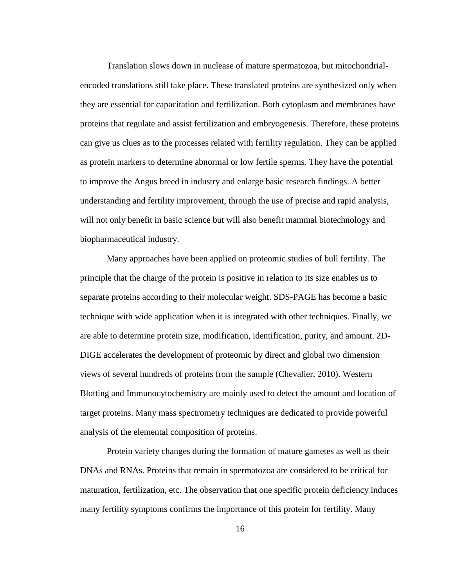Translation slows down in nuclease of mature spermatozoa, but mitochondrialencoded translations still take place. These translated proteins are synthesized only when they are essential for capacitation and fertilization. Both cytoplasm and membranes have proteins that regulate and assist fertilization and embryogenesis. Therefore, these proteins can give us clues as to the processes related with fertility regulation. They can be applied as protein markers to determine abnormal or low fertile sperms. They have the potential to improve the Angus breed in industry and enlarge basic research findings. A better understanding and fertility improvement, through the use of precise and rapid analysis, will not only benefit in basic science but will also benefit mammal biotechnology and biopharmaceutical industry.

Many approaches have been applied on proteomic studies of bull fertility. The principle that the charge of the protein is positive in relation to its size enables us to separate proteins according to their molecular weight. SDS-PAGE has become a basic technique with wide application when it is integrated with other techniques. Finally, we are able to determine protein size, modification, identification, purity, and amount. 2D-DIGE accelerates the development of proteomic by direct and global two dimension views of several hundreds of proteins from the sample (Chevalier, 2010). Western Blotting and Immunocytochemistry are mainly used to detect the amount and location of target proteins. Many mass spectrometry techniques are dedicated to provide powerful analysis of the elemental composition of proteins.

Protein variety changes during the formation of mature gametes as well as their DNAs and RNAs. Proteins that remain in spermatozoa are considered to be critical for maturation, fertilization, etc. The observation that one specific protein deficiency induces many fertility symptoms confirms the importance of this protein for fertility. Many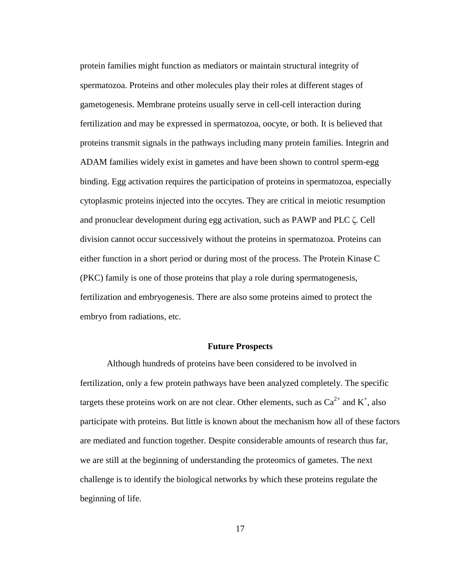protein families might function as mediators or maintain structural integrity of spermatozoa. Proteins and other molecules play their roles at different stages of gametogenesis. Membrane proteins usually serve in cell-cell interaction during fertilization and may be expressed in spermatozoa, oocyte, or both. It is believed that proteins transmit signals in the pathways including many protein families. Integrin and ADAM families widely exist in gametes and have been shown to control sperm-egg binding. Egg activation requires the participation of proteins in spermatozoa, especially cytoplasmic proteins injected into the occytes. They are critical in meiotic resumption and pronuclear development during egg activation, such as PAWP and PLC δ. Cell division cannot occur successively without the proteins in spermatozoa. Proteins can either function in a short period or during most of the process. The Protein Kinase C (PKC) family is one of those proteins that play a role during spermatogenesis, fertilization and embryogenesis. There are also some proteins aimed to protect the embryo from radiations, etc.

#### **Future Prospects**

<span id="page-28-0"></span>Although hundreds of proteins have been considered to be involved in fertilization, only a few protein pathways have been analyzed completely. The specific targets these proteins work on are not clear. Other elements, such as  $Ca^{2+}$  and  $K^{+}$ , also participate with proteins. But little is known about the mechanism how all of these factors are mediated and function together. Despite considerable amounts of research thus far, we are still at the beginning of understanding the proteomics of gametes. The next challenge is to identify the biological networks by which these proteins regulate the beginning of life.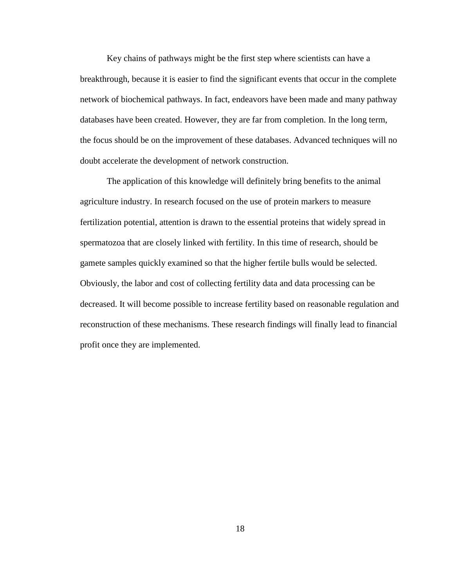Key chains of pathways might be the first step where scientists can have a breakthrough, because it is easier to find the significant events that occur in the complete network of biochemical pathways. In fact, endeavors have been made and many pathway databases have been created. However, they are far from completion. In the long term, the focus should be on the improvement of these databases. Advanced techniques will no doubt accelerate the development of network construction.

The application of this knowledge will definitely bring benefits to the animal agriculture industry. In research focused on the use of protein markers to measure fertilization potential, attention is drawn to the essential proteins that widely spread in spermatozoa that are closely linked with fertility. In this time of research, should be gamete samples quickly examined so that the higher fertile bulls would be selected. Obviously, the labor and cost of collecting fertility data and data processing can be decreased. It will become possible to increase fertility based on reasonable regulation and reconstruction of these mechanisms. These research findings will finally lead to financial profit once they are implemented.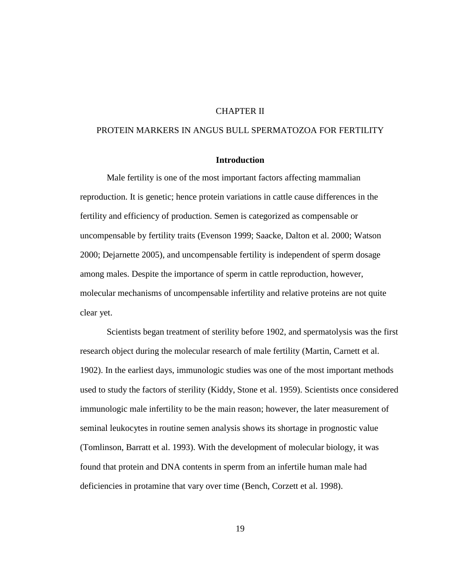## CHAPTER II

## <span id="page-30-1"></span><span id="page-30-0"></span>PROTEIN MARKERS IN ANGUS BULL SPERMATOZOA FOR FERTILITY

## **Introduction**

Male fertility is one of the most important factors affecting mammalian reproduction. It is genetic; hence protein variations in cattle cause differences in the fertility and efficiency of production. Semen is categorized as compensable or uncompensable by fertility traits (Evenson 1999; Saacke, Dalton et al. 2000; Watson 2000; Dejarnette 2005), and uncompensable fertility is independent of sperm dosage among males. Despite the importance of sperm in cattle reproduction, however, molecular mechanisms of uncompensable infertility and relative proteins are not quite clear yet.

Scientists began treatment of sterility before 1902, and spermatolysis was the first research object during the molecular research of male fertility (Martin, Carnett et al. 1902). In the earliest days, immunologic studies was one of the most important methods used to study the factors of sterility (Kiddy, Stone et al. 1959). Scientists once considered immunologic male infertility to be the main reason; however, the later measurement of seminal leukocytes in routine semen analysis shows its shortage in prognostic value (Tomlinson, Barratt et al. 1993). With the development of molecular biology, it was found that protein and DNA contents in sperm from an infertile human male had deficiencies in protamine that vary over time (Bench, Corzett et al. 1998).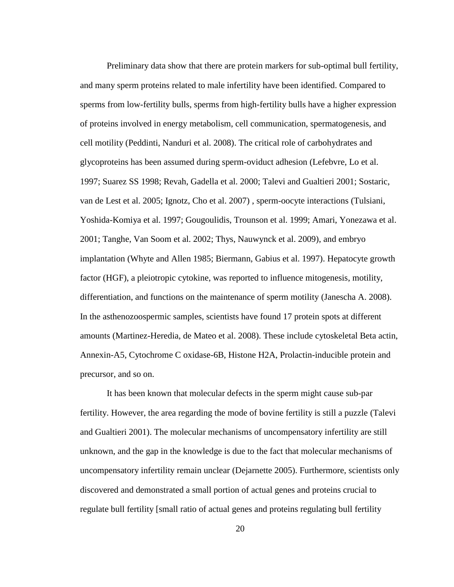Preliminary data show that there are protein markers for sub-optimal bull fertility, and many sperm proteins related to male infertility have been identified. Compared to sperms from low-fertility bulls, sperms from high-fertility bulls have a higher expression of proteins involved in energy metabolism, cell communication, spermatogenesis, and cell motility (Peddinti, Nanduri et al. 2008). The critical role of carbohydrates and glycoproteins has been assumed during sperm-oviduct adhesion (Lefebvre, Lo et al. 1997; Suarez SS 1998; Revah, Gadella et al. 2000; Talevi and Gualtieri 2001; Sostaric, van de Lest et al. 2005; Ignotz, Cho et al. 2007) , sperm-oocyte interactions (Tulsiani, Yoshida-Komiya et al. 1997; Gougoulidis, Trounson et al. 1999; Amari, Yonezawa et al. 2001; Tanghe, Van Soom et al. 2002; Thys, Nauwynck et al. 2009), and embryo implantation (Whyte and Allen 1985; Biermann, Gabius et al. 1997). Hepatocyte growth factor (HGF), a pleiotropic cytokine, was reported to influence mitogenesis, motility, differentiation, and functions on the maintenance of sperm motility (Janescha A. 2008). In the asthenozoospermic samples, scientists have found 17 protein spots at different amounts (Martinez-Heredia, de Mateo et al. 2008). These include cytoskeletal Beta actin, Annexin-A5, Cytochrome C oxidase-6B, Histone H2A, Prolactin-inducible protein and precursor, and so on.

It has been known that molecular defects in the sperm might cause sub-par fertility. However, the area regarding the mode of bovine fertility is still a puzzle (Talevi and Gualtieri 2001). The molecular mechanisms of uncompensatory infertility are still unknown, and the gap in the knowledge is due to the fact that molecular mechanisms of uncompensatory infertility remain unclear (Dejarnette 2005). Furthermore, scientists only discovered and demonstrated a small portion of actual genes and proteins crucial to regulate bull fertility [small ratio of actual genes and proteins regulating bull fertility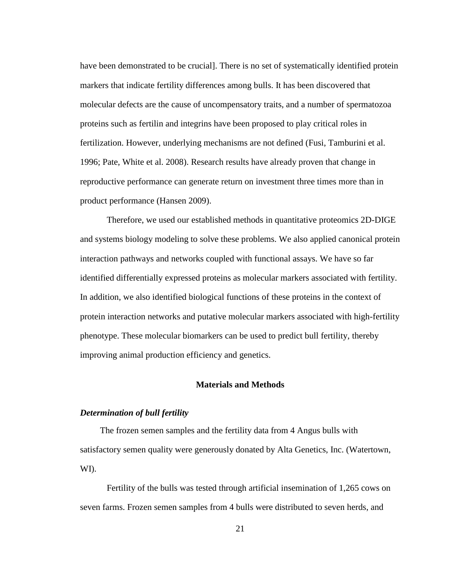have been demonstrated to be crucial]. There is no set of systematically identified protein markers that indicate fertility differences among bulls. It has been discovered that molecular defects are the cause of uncompensatory traits, and a number of spermatozoa proteins such as fertilin and integrins have been proposed to play critical roles in fertilization. However, underlying mechanisms are not defined (Fusi, Tamburini et al. 1996; Pate, White et al. 2008). Research results have already proven that change in reproductive performance can generate return on investment three times more than in product performance (Hansen 2009).

Therefore, we used our established methods in quantitative proteomics 2D-DIGE and systems biology modeling to solve these problems. We also applied canonical protein interaction pathways and networks coupled with functional assays. We have so far identified differentially expressed proteins as molecular markers associated with fertility. In addition, we also identified biological functions of these proteins in the context of protein interaction networks and putative molecular markers associated with high-fertility phenotype. These molecular biomarkers can be used to predict bull fertility, thereby improving animal production efficiency and genetics.

#### **Materials and Methods**

#### <span id="page-32-0"></span>*Determination of bull fertility*

 The frozen semen samples and the fertility data from 4 Angus bulls with satisfactory semen quality were generously donated by Alta Genetics, Inc. (Watertown, WI).

Fertility of the bulls was tested through artificial insemination of 1,265 cows on seven farms. Frozen semen samples from 4 bulls were distributed to seven herds, and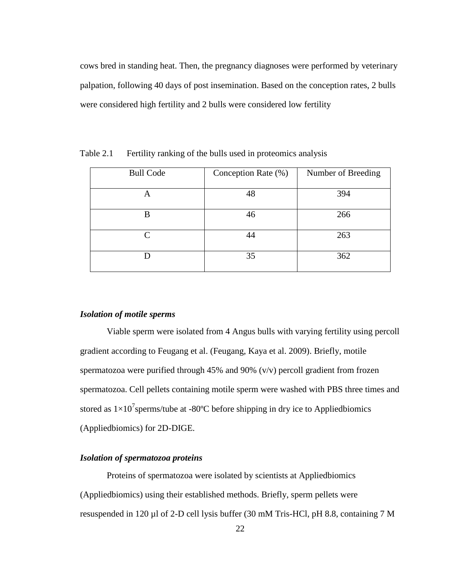cows bred in standing heat. Then, the pregnancy diagnoses were performed by veterinary palpation, following 40 days of post insemination. Based on the conception rates, 2 bulls were considered high fertility and 2 bulls were considered low fertility

| Number of Breeding |
|--------------------|
| 394                |
| 266                |
| 263                |
| 362                |
|                    |

<span id="page-33-2"></span>Table 2.1 Fertility ranking of the bulls used in proteomics analysis

## <span id="page-33-0"></span>*Isolation of motile sperms*

Viable sperm were isolated from 4 Angus bulls with varying fertility using percoll gradient according to Feugang et al. (Feugang, Kaya et al. 2009). Briefly, motile spermatozoa were purified through 45% and 90% (v/v) percoll gradient from frozen spermatozoa. Cell pellets containing motile sperm were washed with PBS three times and stored as  $1 \times 10^7$  sperms/tube at -80 °C before shipping in dry ice to Appliedbiomics (Appliedbiomics) for 2D-DIGE.

## <span id="page-33-1"></span>*Isolation of spermatozoa proteins*

Proteins of spermatozoa were isolated by scientists at Appliedbiomics (Appliedbiomics) using their established methods. Briefly, sperm pellets were resuspended in 120 µl of 2-D cell lysis buffer (30 mM Tris-HCl, pH 8.8, containing 7 M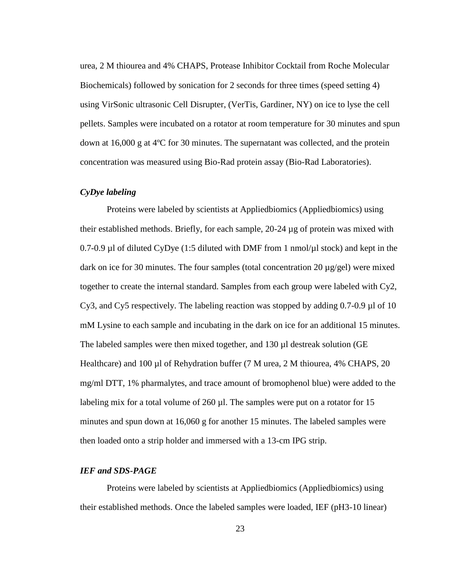urea, 2 M thiourea and 4% CHAPS, Protease Inhibitor Cocktail from Roche Molecular Biochemicals) followed by sonication for 2 seconds for three times (speed setting 4) using VirSonic ultrasonic Cell Disrupter, (VerTis, Gardiner, NY) on ice to lyse the cell pellets. Samples were incubated on a rotator at room temperature for 30 minutes and spun down at 16,000 g at 4  $\mathbb C$  for 30 minutes. The supernatant was collected, and the protein concentration was measured using Bio-Rad protein assay (Bio-Rad Laboratories).

#### <span id="page-34-0"></span>*CyDye labeling*

Proteins were labeled by scientists at Appliedbiomics (Appliedbiomics) using their established methods. Briefly, for each sample, 20-24 µg of protein was mixed with 0.7-0.9 µ of diluted CyDye (1:5 diluted with DMF from 1 nmol/ $\mu$ l stock) and kept in the dark on ice for 30 minutes. The four samples (total concentration 20 µg/gel) were mixed together to create the internal standard. Samples from each group were labeled with Cy2, Cy3, and Cy5 respectively. The labeling reaction was stopped by adding 0.7-0.9 µ of 10 mM Lysine to each sample and incubating in the dark on ice for an additional 15 minutes. The labeled samples were then mixed together, and 130 µ destreak solution (GE Healthcare) and 100 µl of Rehydration buffer (7 M urea, 2 M thiourea, 4% CHAPS, 20 mg/ml DTT, 1% pharmalytes, and trace amount of bromophenol blue) were added to the labeling mix for a total volume of  $260 \mu$ . The samples were put on a rotator for 15 minutes and spun down at 16,060 g for another 15 minutes. The labeled samples were then loaded onto a strip holder and immersed with a 13-cm IPG strip.

#### <span id="page-34-1"></span>*IEF and SDS-PAGE*

Proteins were labeled by scientists at Appliedbiomics (Appliedbiomics) using their established methods. Once the labeled samples were loaded, IEF (pH3-10 linear)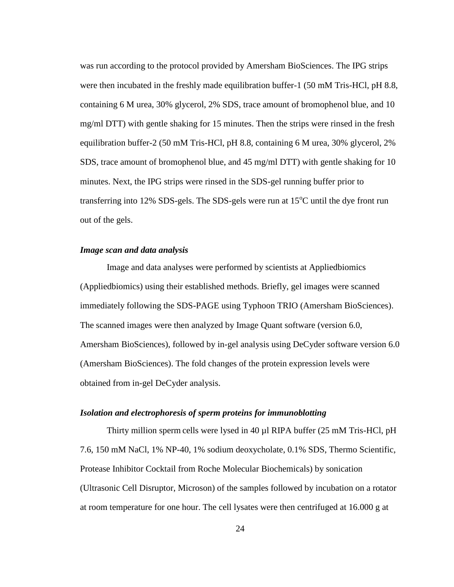was run according to the protocol provided by Amersham BioSciences. The IPG strips were then incubated in the freshly made equilibration buffer-1 (50 mM Tris-HCl, pH 8.8, containing 6 M urea, 30% glycerol, 2% SDS, trace amount of bromophenol blue, and 10 mg/ml DTT) with gentle shaking for 15 minutes. Then the strips were rinsed in the fresh equilibration buffer-2 (50 mM Tris-HCl, pH 8.8, containing 6 M urea, 30% glycerol, 2% SDS, trace amount of bromophenol blue, and 45 mg/ml DTT) with gentle shaking for 10 minutes. Next, the IPG strips were rinsed in the SDS-gel running buffer prior to transferring into 12% SDS-gels. The SDS-gels were run at  $15^{\circ}$ C until the dye front run out of the gels.

#### <span id="page-35-0"></span>*Image scan and data analysis*

Image and data analyses were performed by scientists at Appliedbiomics (Appliedbiomics) using their established methods. Briefly, gel images were scanned immediately following the SDS-PAGE using Typhoon TRIO (Amersham BioSciences). The scanned images were then analyzed by Image Quant software (version 6.0, Amersham BioSciences), followed by in-gel analysis using DeCyder software version 6.0 (Amersham BioSciences). The fold changes of the protein expression levels were obtained from in-gel DeCyder analysis.

#### <span id="page-35-1"></span>*Isolation and electrophoresis of sperm proteins for immunoblotting*

Thirty million sperm cells were lysed in 40 µl RIPA buffer (25 mM Tris-HCl, pH 7.6, 150 mM NaCl, 1% NP-40, 1% sodium deoxycholate, 0.1% SDS, Thermo Scientific, Protease Inhibitor Cocktail from Roche Molecular Biochemicals) by sonication (Ultrasonic Cell Disruptor, Microson) of the samples followed by incubation on a rotator at room temperature for one hour. The cell lysates were then centrifuged at 16.000 g at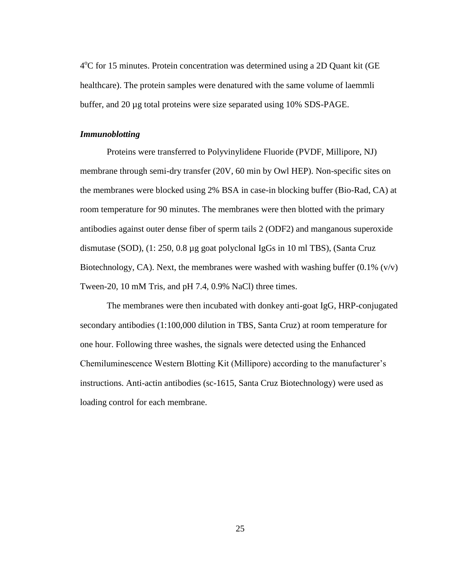4°C for 15 minutes. Protein concentration was determined using a 2D Quant kit (GE healthcare). The protein samples were denatured with the same volume of laemmli buffer, and 20 µg total proteins were size separated using 10% SDS-PAGE.

## <span id="page-36-0"></span>*Immunoblotting*

Proteins were transferred to Polyvinylidene Fluoride (PVDF, Millipore, NJ) membrane through semi-dry transfer (20V, 60 min by Owl HEP). Non-specific sites on the membranes were blocked using 2% BSA in case-in blocking buffer (Bio-Rad, CA) at room temperature for 90 minutes. The membranes were then blotted with the primary antibodies against outer dense fiber of sperm tails 2 (ODF2) and manganous superoxide dismutase (SOD), (1: 250, 0.8 µg goat polyclonal IgGs in 10 ml TBS), (Santa Cruz Biotechnology, CA). Next, the membranes were washed with washing buffer  $(0.1\%$  (v/v) Tween-20, 10 mM Tris, and pH 7.4, 0.9% NaCl) three times.

The membranes were then incubated with donkey anti-goat IgG, HRP-conjugated secondary antibodies (1:100,000 dilution in TBS, Santa Cruz) at room temperature for one hour. Following three washes, the signals were detected using the Enhanced Chemiluminescence Western Blotting Kit (Millipore) according to the manufacturer's instructions. Anti-actin antibodies (sc-1615, Santa Cruz Biotechnology) were used as loading control for each membrane.

25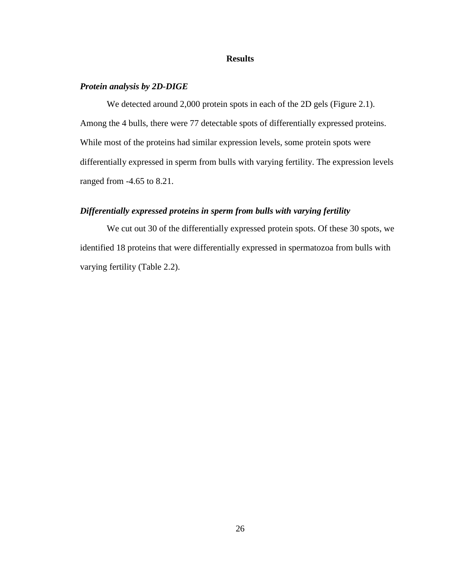### **Results**

## <span id="page-37-1"></span><span id="page-37-0"></span>*Protein analysis by 2D-DIGE*

We detected around 2,000 protein spots in each of the 2D gels (Figure 2.1). Among the 4 bulls, there were 77 detectable spots of differentially expressed proteins. While most of the proteins had similar expression levels, some protein spots were differentially expressed in sperm from bulls with varying fertility. The expression levels ranged from -4.65 to 8.21.

## <span id="page-37-2"></span>*Differentially expressed proteins in sperm from bulls with varying fertility*

We cut out 30 of the differentially expressed protein spots. Of these 30 spots, we identified 18 proteins that were differentially expressed in spermatozoa from bulls with varying fertility (Table 2.2).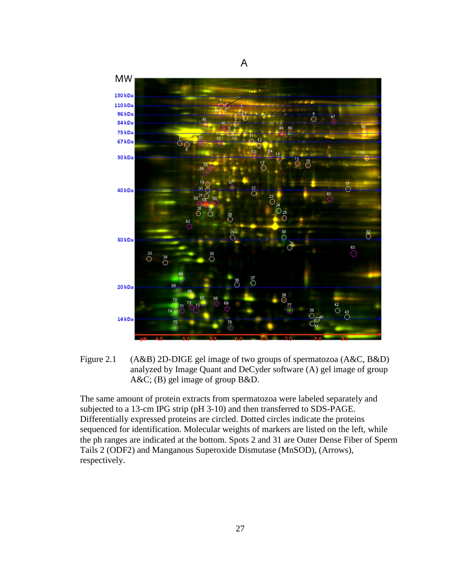

<span id="page-38-0"></span>

The same amount of protein extracts from spermatozoa were labeled separately and subjected to a 13-cm IPG strip (pH 3-10) and then transferred to SDS-PAGE. Differentially expressed proteins are circled. Dotted circles indicate the proteins sequenced for identification. Molecular weights of markers are listed on the left, while the ph ranges are indicated at the bottom. Spots 2 and 31 are Outer Dense Fiber of Sperm Tails 2 (ODF2) and Manganous Superoxide Dismutase (MnSOD), (Arrows), respectively.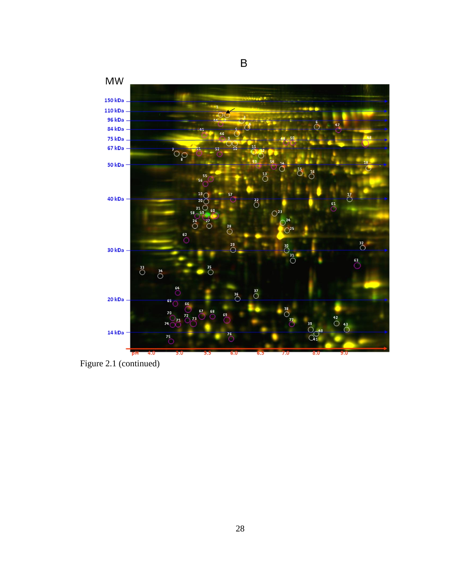

Figure 2.1 (continued)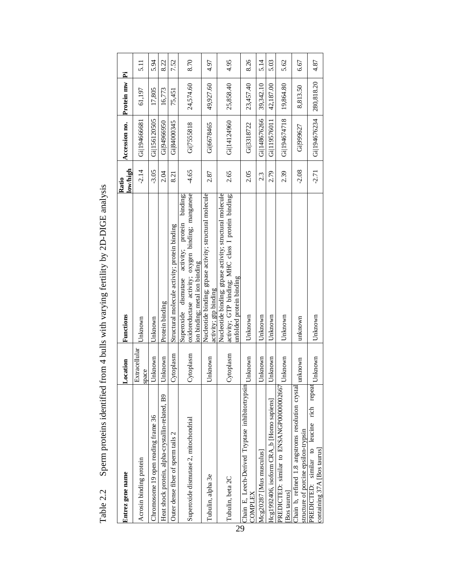| Entrez gene name                                                                          | Location               | Functions                                                                                                                                   | low/high<br>Ratio | Accession no. | Protein mw | Ä    |
|-------------------------------------------------------------------------------------------|------------------------|---------------------------------------------------------------------------------------------------------------------------------------------|-------------------|---------------|------------|------|
| Acrosin binding protein                                                                   | Extracellular<br>space | Unknown                                                                                                                                     | $-2.14$           | Gil194666681  | 61,197     | 5.1  |
| Chromosome 19 open reading frame 36                                                       | Unknown                | Jnknown                                                                                                                                     | $-3.05$           | Gil156120505  | 17,805     | 5.94 |
| Heat shock protein, alpha-crystallin-related, B9                                          | Unknown                | Protein binding                                                                                                                             | 2.04              | Gi 94966950   | 16,773     | 8.22 |
| Outer dense fiber of sperm tails 2                                                        | Cytoplasm              | Structural molecule activity; protein binding                                                                                               | 8.21              | Gi 84000345   | 75,451     | 7.52 |
| Superoxide dismutase 2, mitochondrial                                                     | Cytoplasm              | oxidoreductase activity; oxygen binding; manganese<br>Superoxide dismutase activity; protein binding;<br>ion binding; metal ion binding     | $-4.65$           | Gi 7555818    | 24,574.60  | 8.70 |
| Tubulin, alpha 3e                                                                         | Unknown                | Nucleotide binding; gtpase activity; structural molecule<br>activity; gtp binding                                                           | 2.87              | Gi 6678465    | 49,927.60  | 4.97 |
| Tubulin, beta 2C                                                                          | Cytoplasm              | Nucleotide binding; gtpase activity; structural molecule<br>activity; GTP binding; MHC class I protein binding;<br>unfolded protein binding | 2.65              | Gi 14124960   | 25,858.40  | 4.95 |
| Chain E, Leech-Derived Tryptase inhibitortrypsin<br>COMPLEX                               | Unknown                | Unknown                                                                                                                                     | 2.05              | Gi 3318722    | 23,457.40  | 8.26 |
| Mcg20287 [Mus musculus]                                                                   | Unknown                | Unknown                                                                                                                                     | 2.3               | Gill48676266  | 39,342.10  | 5.14 |
| $Hcgl 992406$ , isoform CRA b Homo sapiens                                                | Unknown                | Unknown                                                                                                                                     | 2.79              | Gil19576011   | 42,187.00  | 5.03 |
| PREDICTED: similar to ENSANGP00000002667<br>Bos taurus                                    | Unknown                | Unknown                                                                                                                                     | 2.39              | Gi 194674718  | 19,864.80  | 5.62 |
| Chain b, refined 1.8 angstroms resolution crystal<br>structure of porcine epsilon-trypsin | unknown                | unknown                                                                                                                                     | $-2.08$           | Gi 999627     | 8,813.50   | 6.67 |
| PREDICTED: similar to leucine rich repeat<br>containing 37A [Bos taurus]                  | Unknown                | Unknown                                                                                                                                     | $-2.71$           | Gill94676234  | 280,818.20 | 4.87 |

<span id="page-40-0"></span>Sperm proteins identified from 4 bulls with varying fertility by 2D-DIGE analysis Table 2.2 Sperm proteins identified from 4 bulls with varying fertility by 2D-DIGE analysis Table 2.2

29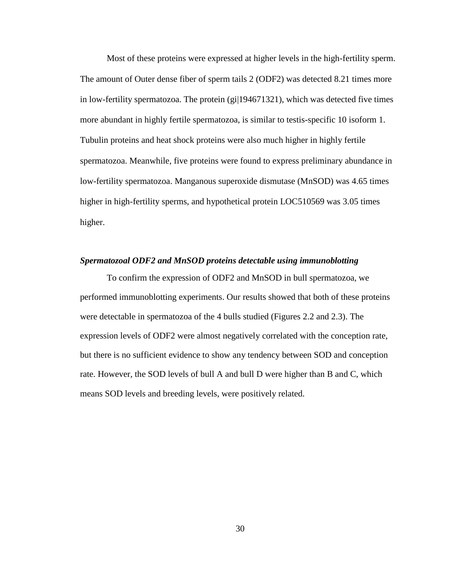Most of these proteins were expressed at higher levels in the high-fertility sperm. The amount of Outer dense fiber of sperm tails 2 (ODF2) was detected 8.21 times more in low-fertility spermatozoa. The protein (gi|194671321), which was detected five times more abundant in highly fertile spermatozoa, is similar to testis-specific 10 isoform 1. Tubulin proteins and heat shock proteins were also much higher in highly fertile spermatozoa. Meanwhile, five proteins were found to express preliminary abundance in low-fertility spermatozoa. Manganous superoxide dismutase (MnSOD) was 4.65 times higher in high-fertility sperms, and hypothetical protein LOC510569 was 3.05 times higher.

#### <span id="page-41-0"></span>*Spermatozoal ODF2 and MnSOD proteins detectable using immunoblotting*

To confirm the expression of ODF2 and MnSOD in bull spermatozoa, we performed immunoblotting experiments. Our results showed that both of these proteins were detectable in spermatozoa of the 4 bulls studied (Figures 2.2 and 2.3). The expression levels of ODF2 were almost negatively correlated with the conception rate, but there is no sufficient evidence to show any tendency between SOD and conception rate. However, the SOD levels of bull A and bull D were higher than B and C, which means SOD levels and breeding levels, were positively related.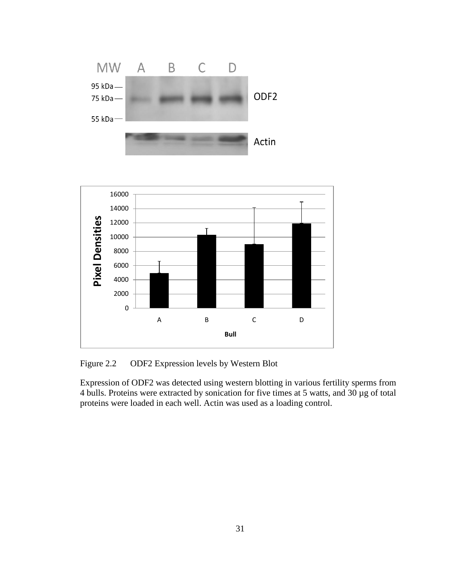

<span id="page-42-0"></span>Figure 2.2 ODF2 Expression levels by Western Blot

Expression of ODF2 was detected using western blotting in various fertility sperms from 4 bulls. Proteins were extracted by sonication for five times at 5 watts, and 30 µg of total proteins were loaded in each well. Actin was used as a loading control.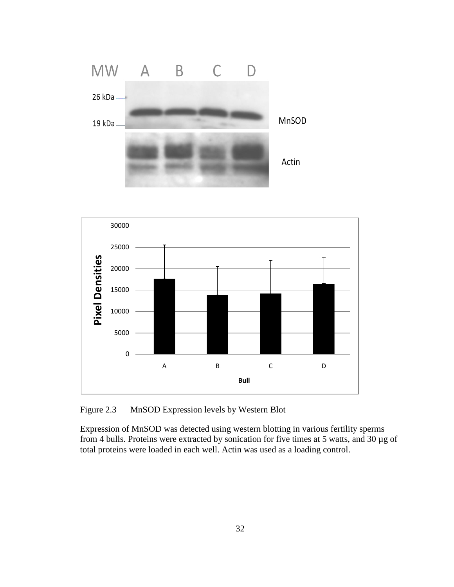



<span id="page-43-0"></span>Figure 2.3 MnSOD Expression levels by Western Blot

Expression of MnSOD was detected using western blotting in various fertility sperms from 4 bulls. Proteins were extracted by sonication for five times at 5 watts, and 30 µg of total proteins were loaded in each well. Actin was used as a loading control.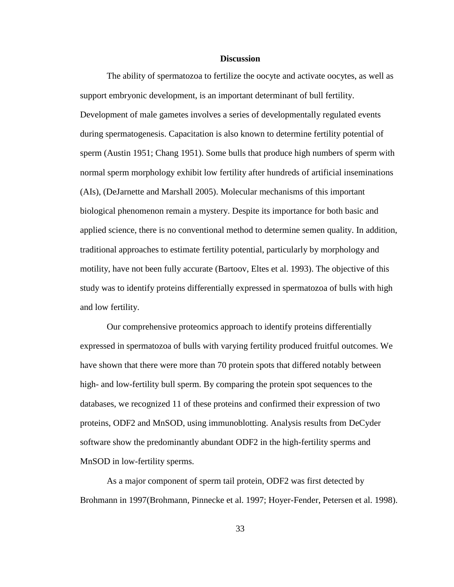#### **Discussion**

<span id="page-44-0"></span>The ability of spermatozoa to fertilize the oocyte and activate oocytes, as well as support embryonic development, is an important determinant of bull fertility. Development of male gametes involves a series of developmentally regulated events during spermatogenesis. Capacitation is also known to determine fertility potential of sperm (Austin 1951; Chang 1951). Some bulls that produce high numbers of sperm with normal sperm morphology exhibit low fertility after hundreds of artificial inseminations (AIs), (DeJarnette and Marshall 2005). Molecular mechanisms of this important biological phenomenon remain a mystery. Despite its importance for both basic and applied science, there is no conventional method to determine semen quality. In addition, traditional approaches to estimate fertility potential, particularly by morphology and motility, have not been fully accurate (Bartoov, Eltes et al. 1993). The objective of this study was to identify proteins differentially expressed in spermatozoa of bulls with high and low fertility.

Our comprehensive proteomics approach to identify proteins differentially expressed in spermatozoa of bulls with varying fertility produced fruitful outcomes. We have shown that there were more than 70 protein spots that differed notably between high- and low-fertility bull sperm. By comparing the protein spot sequences to the databases, we recognized 11 of these proteins and confirmed their expression of two proteins, ODF2 and MnSOD, using immunoblotting. Analysis results from DeCyder software show the predominantly abundant ODF2 in the high-fertility sperms and MnSOD in low-fertility sperms.

As a major component of sperm tail protein, ODF2 was first detected by Brohmann in 1997(Brohmann, Pinnecke et al. 1997; Hoyer-Fender, Petersen et al. 1998).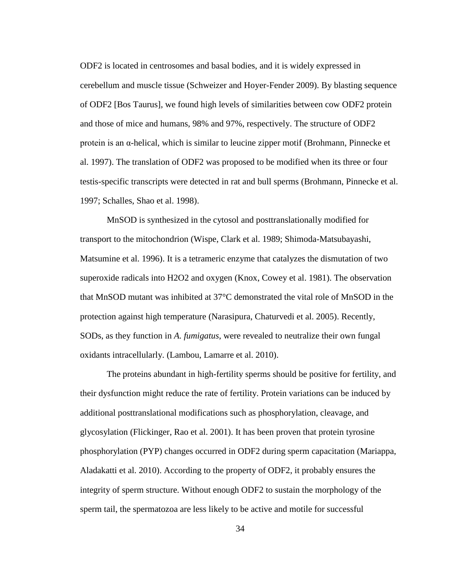ODF2 is located in centrosomes and basal bodies, and it is widely expressed in cerebellum and muscle tissue (Schweizer and Hoyer-Fender 2009). By blasting sequence of ODF2 [Bos Taurus], we found high levels of similarities between cow ODF2 protein and those of mice and humans, 98% and 97%, respectively. The structure of ODF2 protein is an α-helical, which is similar to leucine zipper motif (Brohmann, Pinnecke et al. 1997). The translation of ODF2 was proposed to be modified when its three or four testis-specific transcripts were detected in rat and bull sperms (Brohmann, Pinnecke et al. 1997; Schalles, Shao et al. 1998).

MnSOD is synthesized in the cytosol and posttranslationally modified for transport to the mitochondrion (Wispe, Clark et al. 1989; Shimoda-Matsubayashi, Matsumine et al. 1996). It is a tetrameric enzyme that catalyzes the dismutation of two superoxide radicals into H2O2 and oxygen (Knox, Cowey et al. 1981). The observation that MnSOD mutant was inhibited at  $37 \, \text{°C}$  demonstrated the vital role of MnSOD in the protection against high temperature (Narasipura, Chaturvedi et al. 2005). Recently, SODs, as they function in *A. fumigatus*, were revealed to neutralize their own fungal oxidants intracellularly. (Lambou, Lamarre et al. 2010).

The proteins abundant in high-fertility sperms should be positive for fertility, and their dysfunction might reduce the rate of fertility. Protein variations can be induced by additional posttranslational modifications such as phosphorylation, cleavage, and glycosylation (Flickinger, Rao et al. 2001). It has been proven that protein tyrosine phosphorylation (PYP) changes occurred in ODF2 during sperm capacitation (Mariappa, Aladakatti et al. 2010). According to the property of ODF2, it probably ensures the integrity of sperm structure. Without enough ODF2 to sustain the morphology of the sperm tail, the spermatozoa are less likely to be active and motile for successful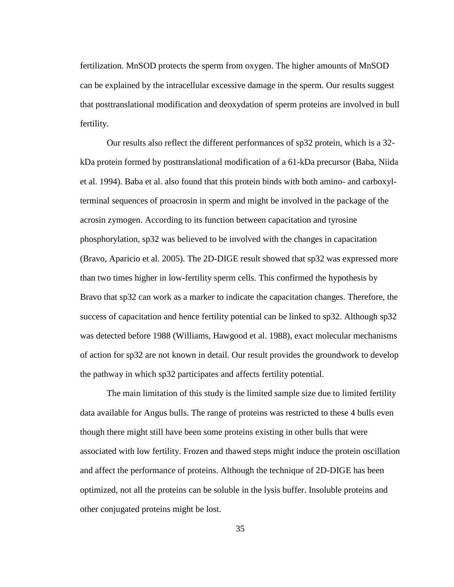fertilization. MnSOD protects the sperm from oxygen. The higher amounts of MnSOD can be explained by the intracellular excessive damage in the sperm. Our results suggest that posttranslational modification and deoxydation of sperm proteins are involved in bull fertility.

Our results also reflect the different performances of sp32 protein, which is a 32 kDa protein formed by posttranslational modification of a 61-kDa precursor (Baba, Niida et al. 1994). Baba et al. also found that this protein binds with both amino- and carboxylterminal sequences of proacrosin in sperm and might be involved in the package of the acrosin zymogen. According to its function between capacitation and tyrosine phosphorylation, sp32 was believed to be involved with the changes in capacitation (Bravo, Aparicio et al. 2005). The 2D-DIGE result showed that sp32 was expressed more than two times higher in low-fertility sperm cells. This confirmed the hypothesis by Bravo that sp32 can work as a marker to indicate the capacitation changes. Therefore, the success of capacitation and hence fertility potential can be linked to sp32. Although sp32 was detected before 1988 (Williams, Hawgood et al. 1988), exact molecular mechanisms of action for sp32 are not known in detail. Our result provides the groundwork to develop the pathway in which sp32 participates and affects fertility potential.

The main limitation of this study is the limited sample size due to limited fertility data available for Angus bulls. The range of proteins was restricted to these 4 bulls even though there might still have been some proteins existing in other bulls that were associated with low fertility. Frozen and thawed steps might induce the protein oscillation and affect the performance of proteins. Although the technique of 2D-DIGE has been optimized, not all the proteins can be soluble in the lysis buffer. Insoluble proteins and other conjugated proteins might be lost.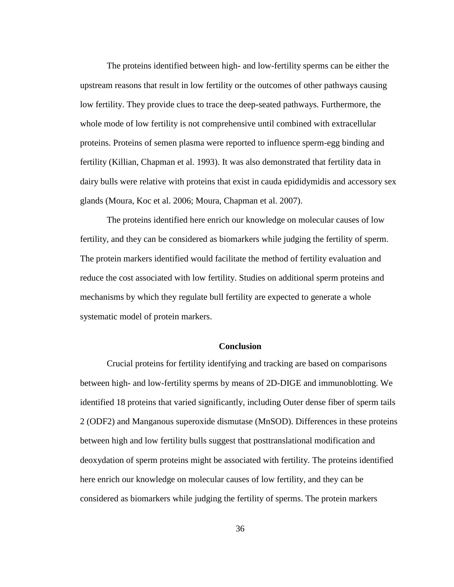The proteins identified between high- and low-fertility sperms can be either the upstream reasons that result in low fertility or the outcomes of other pathways causing low fertility. They provide clues to trace the deep-seated pathways. Furthermore, the whole mode of low fertility is not comprehensive until combined with extracellular proteins. Proteins of semen plasma were reported to influence sperm-egg binding and fertility (Killian, Chapman et al. 1993). It was also demonstrated that fertility data in dairy bulls were relative with proteins that exist in cauda epididymidis and accessory sex glands (Moura, Koc et al. 2006; Moura, Chapman et al. 2007).

The proteins identified here enrich our knowledge on molecular causes of low fertility, and they can be considered as biomarkers while judging the fertility of sperm. The protein markers identified would facilitate the method of fertility evaluation and reduce the cost associated with low fertility. Studies on additional sperm proteins and mechanisms by which they regulate bull fertility are expected to generate a whole systematic model of protein markers.

#### **Conclusion**

<span id="page-47-0"></span>Crucial proteins for fertility identifying and tracking are based on comparisons between high- and low-fertility sperms by means of 2D-DIGE and immunoblotting. We identified 18 proteins that varied significantly, including Outer dense fiber of sperm tails 2 (ODF2) and Manganous superoxide dismutase (MnSOD). Differences in these proteins between high and low fertility bulls suggest that posttranslational modification and deoxydation of sperm proteins might be associated with fertility. The proteins identified here enrich our knowledge on molecular causes of low fertility, and they can be considered as biomarkers while judging the fertility of sperms. The protein markers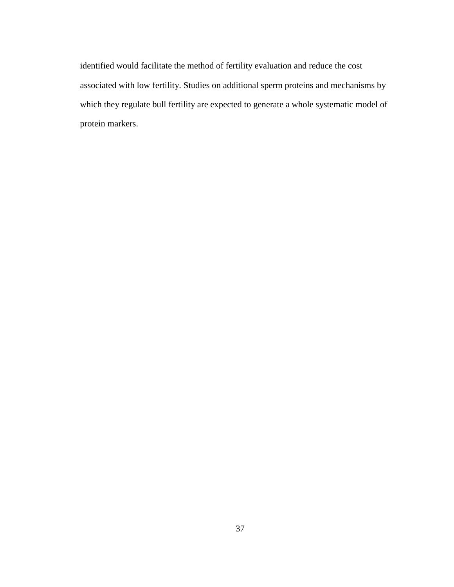identified would facilitate the method of fertility evaluation and reduce the cost associated with low fertility. Studies on additional sperm proteins and mechanisms by which they regulate bull fertility are expected to generate a whole systematic model of protein markers.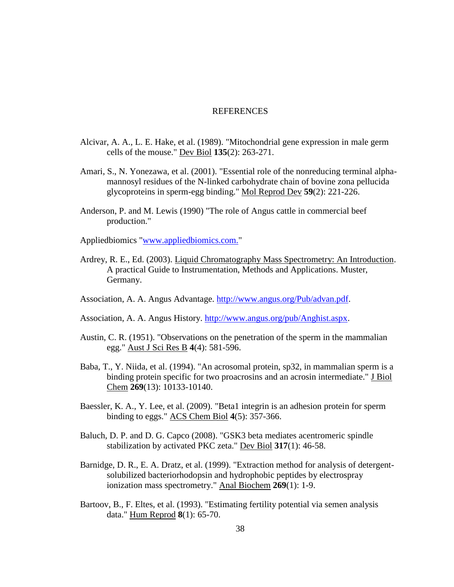#### **REFERENCES**

- <span id="page-49-0"></span>Alcivar, A. A., L. E. Hake, et al. (1989). "Mitochondrial gene expression in male germ cells of the mouse." Dev Biol **135**(2): 263-271.
- Amari, S., N. Yonezawa, et al. (2001). "Essential role of the nonreducing terminal alphamannosyl residues of the N-linked carbohydrate chain of bovine zona pellucida glycoproteins in sperm-egg binding." Mol Reprod Dev **59**(2): 221-226.
- Anderson, P. and M. Lewis (1990) "The role of Angus cattle in commercial beef production."

Appliedbiomics ["www.appliedbiomics.com."](http://www.appliedbiomics.com./)

- Ardrey, R. E., Ed. (2003). Liquid Chromatography Mass Spectrometry: An Introduction. A practical Guide to Instrumentation, Methods and Applications. Muster, Germany.
- Association, A. A. Angus Advantage. [http://www.angus.org/Pub/advan.pdf.](http://www.angus.org/Pub/advan.pdf)
- Association, A. A. Angus History. [http://www.angus.org/pub/Anghist.aspx.](http://www.angus.org/pub/Anghist.aspx)
- Austin, C. R. (1951). "Observations on the penetration of the sperm in the mammalian egg." Aust J Sci Res B **4**(4): 581-596.
- Baba, T., Y. Niida, et al. (1994). "An acrosomal protein, sp32, in mammalian sperm is a binding protein specific for two proacrosins and an acrosin intermediate." J Biol Chem **269**(13): 10133-10140.
- Baessler, K. A., Y. Lee, et al. (2009). "Beta1 integrin is an adhesion protein for sperm binding to eggs." ACS Chem Biol **4**(5): 357-366.
- Baluch, D. P. and D. G. Capco (2008). "GSK3 beta mediates acentromeric spindle stabilization by activated PKC zeta." Dev Biol **317**(1): 46-58.
- Barnidge, D. R., E. A. Dratz, et al. (1999). "Extraction method for analysis of detergentsolubilized bacteriorhodopsin and hydrophobic peptides by electrospray ionization mass spectrometry." Anal Biochem **269**(1): 1-9.
- Bartoov, B., F. Eltes, et al. (1993). "Estimating fertility potential via semen analysis data." Hum Reprod **8**(1): 65-70.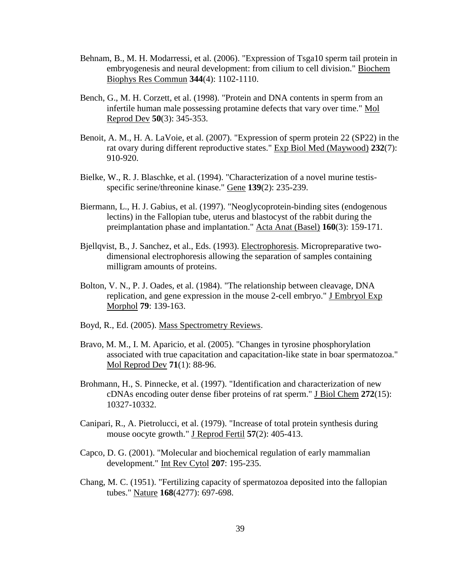- Behnam, B., M. H. Modarressi, et al. (2006). "Expression of Tsga10 sperm tail protein in embryogenesis and neural development: from cilium to cell division." Biochem Biophys Res Commun **344**(4): 1102-1110.
- Bench, G., M. H. Corzett, et al. (1998). "Protein and DNA contents in sperm from an infertile human male possessing protamine defects that vary over time." Mol Reprod Dev **50**(3): 345-353.
- Benoit, A. M., H. A. LaVoie, et al. (2007). "Expression of sperm protein 22 (SP22) in the rat ovary during different reproductive states." Exp Biol Med (Maywood) **232**(7): 910-920.
- Bielke, W., R. J. Blaschke, et al. (1994). "Characterization of a novel murine testisspecific serine/threonine kinase." Gene **139**(2): 235-239.
- Biermann, L., H. J. Gabius, et al. (1997). "Neoglycoprotein-binding sites (endogenous lectins) in the Fallopian tube, uterus and blastocyst of the rabbit during the preimplantation phase and implantation." Acta Anat (Basel) **160**(3): 159-171.
- Bjellqvist, B., J. Sanchez, et al., Eds. (1993). Electrophoresis. Micropreparative twodimensional electrophoresis allowing the separation of samples containing milligram amounts of proteins.
- Bolton, V. N., P. J. Oades, et al. (1984). "The relationship between cleavage, DNA replication, and gene expression in the mouse 2-cell embryo." J Embryol Exp Morphol **79**: 139-163.
- Boyd, R., Ed. (2005). Mass Spectrometry Reviews.
- Bravo, M. M., I. M. Aparicio, et al. (2005). "Changes in tyrosine phosphorylation associated with true capacitation and capacitation-like state in boar spermatozoa." Mol Reprod Dev **71**(1): 88-96.
- Brohmann, H., S. Pinnecke, et al. (1997). "Identification and characterization of new cDNAs encoding outer dense fiber proteins of rat sperm." J Biol Chem **272**(15): 10327-10332.
- Canipari, R., A. Pietrolucci, et al. (1979). "Increase of total protein synthesis during mouse oocyte growth." J Reprod Fertil **57**(2): 405-413.
- Capco, D. G. (2001). "Molecular and biochemical regulation of early mammalian development." Int Rev Cytol **207**: 195-235.
- Chang, M. C. (1951). "Fertilizing capacity of spermatozoa deposited into the fallopian tubes." Nature **168**(4277): 697-698.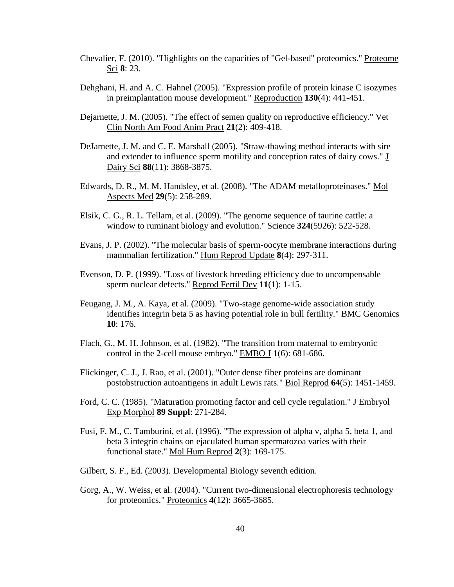- Chevalier, F. (2010). "Highlights on the capacities of "Gel-based" proteomics." Proteome Sci **8**: 23.
- Dehghani, H. and A. C. Hahnel (2005). "Expression profile of protein kinase C isozymes in preimplantation mouse development." Reproduction **130**(4): 441-451.
- Dejarnette, J. M. (2005). "The effect of semen quality on reproductive efficiency." Vet Clin North Am Food Anim Pract **21**(2): 409-418.
- DeJarnette, J. M. and C. E. Marshall (2005). "Straw-thawing method interacts with sire and extender to influence sperm motility and conception rates of dairy cows." J Dairy Sci **88**(11): 3868-3875.
- Edwards, D. R., M. M. Handsley, et al. (2008). "The ADAM metalloproteinases." Mol Aspects Med **29**(5): 258-289.
- Elsik, C. G., R. L. Tellam, et al. (2009). "The genome sequence of taurine cattle: a window to ruminant biology and evolution." Science **324**(5926): 522-528.
- Evans, J. P. (2002). "The molecular basis of sperm-oocyte membrane interactions during mammalian fertilization." Hum Reprod Update **8**(4): 297-311.
- Evenson, D. P. (1999). "Loss of livestock breeding efficiency due to uncompensable sperm nuclear defects." Reprod Fertil Dev **11**(1): 1-15.
- Feugang, J. M., A. Kaya, et al. (2009). "Two-stage genome-wide association study identifies integrin beta 5 as having potential role in bull fertility." BMC Genomics **10**: 176.
- Flach, G., M. H. Johnson, et al. (1982). "The transition from maternal to embryonic control in the 2-cell mouse embryo." EMBO J **1**(6): 681-686.
- Flickinger, C. J., J. Rao, et al. (2001). "Outer dense fiber proteins are dominant postobstruction autoantigens in adult Lewis rats." Biol Reprod **64**(5): 1451-1459.
- Ford, C. C. (1985). "Maturation promoting factor and cell cycle regulation." J Embryol Exp Morphol **89 Suppl**: 271-284.
- Fusi, F. M., C. Tamburini, et al. (1996). "The expression of alpha v, alpha 5, beta 1, and beta 3 integrin chains on ejaculated human spermatozoa varies with their functional state." Mol Hum Reprod **2**(3): 169-175.
- Gilbert, S. F., Ed. (2003). Developmental Biology seventh edition.
- Gorg, A., W. Weiss, et al. (2004). "Current two-dimensional electrophoresis technology for proteomics." Proteomics **4**(12): 3665-3685.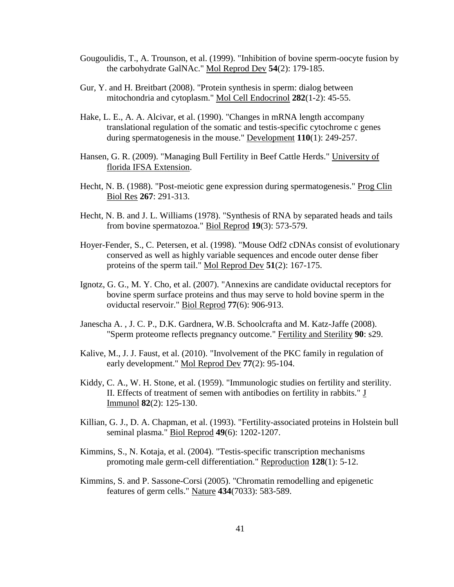- Gougoulidis, T., A. Trounson, et al. (1999). "Inhibition of bovine sperm-oocyte fusion by the carbohydrate GalNAc." Mol Reprod Dev **54**(2): 179-185.
- Gur, Y. and H. Breitbart (2008). "Protein synthesis in sperm: dialog between mitochondria and cytoplasm." Mol Cell Endocrinol **282**(1-2): 45-55.
- Hake, L. E., A. A. Alcivar, et al. (1990). "Changes in mRNA length accompany translational regulation of the somatic and testis-specific cytochrome c genes during spermatogenesis in the mouse." Development **110**(1): 249-257.
- Hansen, G. R. (2009). "Managing Bull Fertility in Beef Cattle Herds." University of florida IFSA Extension.
- Hecht, N. B. (1988). "Post-meiotic gene expression during spermatogenesis." Prog Clin Biol Res **267**: 291-313.
- Hecht, N. B. and J. L. Williams (1978). "Synthesis of RNA by separated heads and tails from bovine spermatozoa." Biol Reprod **19**(3): 573-579.
- Hoyer-Fender, S., C. Petersen, et al. (1998). "Mouse Odf2 cDNAs consist of evolutionary conserved as well as highly variable sequences and encode outer dense fiber proteins of the sperm tail." Mol Reprod Dev **51**(2): 167-175.
- Ignotz, G. G., M. Y. Cho, et al. (2007). "Annexins are candidate oviductal receptors for bovine sperm surface proteins and thus may serve to hold bovine sperm in the oviductal reservoir." Biol Reprod **77**(6): 906-913.
- Janescha A. , J. C. P., D.K. Gardnera, W.B. Schoolcrafta and M. Katz-Jaffe (2008). "Sperm proteome reflects pregnancy outcome." Fertility and Sterility **90**: s29.
- Kalive, M., J. J. Faust, et al. (2010). "Involvement of the PKC family in regulation of early development." Mol Reprod Dev **77**(2): 95-104.
- Kiddy, C. A., W. H. Stone, et al. (1959). "Immunologic studies on fertility and sterility. II. Effects of treatment of semen with antibodies on fertility in rabbits." J Immunol **82**(2): 125-130.
- Killian, G. J., D. A. Chapman, et al. (1993). "Fertility-associated proteins in Holstein bull seminal plasma." Biol Reprod **49**(6): 1202-1207.
- Kimmins, S., N. Kotaja, et al. (2004). "Testis-specific transcription mechanisms promoting male germ-cell differentiation." Reproduction **128**(1): 5-12.
- Kimmins, S. and P. Sassone-Corsi (2005). "Chromatin remodelling and epigenetic features of germ cells." Nature **434**(7033): 583-589.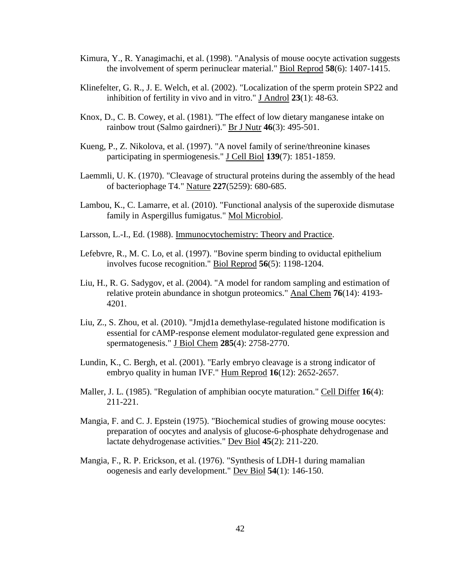- Kimura, Y., R. Yanagimachi, et al. (1998). "Analysis of mouse oocyte activation suggests the involvement of sperm perinuclear material." Biol Reprod **58**(6): 1407-1415.
- Klinefelter, G. R., J. E. Welch, et al. (2002). "Localization of the sperm protein SP22 and inhibition of fertility in vivo and in vitro." J Androl **23**(1): 48-63.
- Knox, D., C. B. Cowey, et al. (1981). "The effect of low dietary manganese intake on rainbow trout (Salmo gairdneri)." Br J Nutr **46**(3): 495-501.
- Kueng, P., Z. Nikolova, et al. (1997). "A novel family of serine/threonine kinases participating in spermiogenesis." J Cell Biol **139**(7): 1851-1859.
- Laemmli, U. K. (1970). "Cleavage of structural proteins during the assembly of the head of bacteriophage T4." Nature **227**(5259): 680-685.
- Lambou, K., C. Lamarre, et al. (2010). "Functional analysis of the superoxide dismutase family in Aspergillus fumigatus." Mol Microbiol.
- Larsson, L.-I., Ed. (1988). Immunocytochemistry: Theory and Practice.
- Lefebvre, R., M. C. Lo, et al. (1997). "Bovine sperm binding to oviductal epithelium involves fucose recognition." Biol Reprod **56**(5): 1198-1204.
- Liu, H., R. G. Sadygov, et al. (2004). "A model for random sampling and estimation of relative protein abundance in shotgun proteomics." Anal Chem **76**(14): 4193- 4201.
- Liu, Z., S. Zhou, et al. (2010). "Jmjd1a demethylase-regulated histone modification is essential for cAMP-response element modulator-regulated gene expression and spermatogenesis." J Biol Chem **285**(4): 2758-2770.
- Lundin, K., C. Bergh, et al. (2001). "Early embryo cleavage is a strong indicator of embryo quality in human IVF." Hum Reprod **16**(12): 2652-2657.
- Maller, J. L. (1985). "Regulation of amphibian oocyte maturation." Cell Differ **16**(4): 211-221.
- Mangia, F. and C. J. Epstein (1975). "Biochemical studies of growing mouse oocytes: preparation of oocytes and analysis of glucose-6-phosphate dehydrogenase and lactate dehydrogenase activities." Dev Biol **45**(2): 211-220.
- Mangia, F., R. P. Erickson, et al. (1976). "Synthesis of LDH-1 during mamalian oogenesis and early development." Dev Biol **54**(1): 146-150.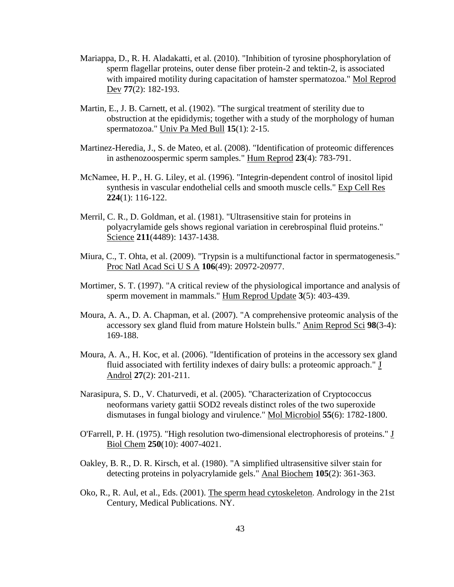- Mariappa, D., R. H. Aladakatti, et al. (2010). "Inhibition of tyrosine phosphorylation of sperm flagellar proteins, outer dense fiber protein-2 and tektin-2, is associated with impaired motility during capacitation of hamster spermatozoa." Mol Reprod Dev **77**(2): 182-193.
- Martin, E., J. B. Carnett, et al. (1902). "The surgical treatment of sterility due to obstruction at the epididymis; together with a study of the morphology of human spermatozoa." Univ Pa Med Bull **15**(1): 2-15.
- Martinez-Heredia, J., S. de Mateo, et al. (2008). "Identification of proteomic differences in asthenozoospermic sperm samples." Hum Reprod **23**(4): 783-791.
- McNamee, H. P., H. G. Liley, et al. (1996). "Integrin-dependent control of inositol lipid synthesis in vascular endothelial cells and smooth muscle cells." Exp Cell Res **224**(1): 116-122.
- Merril, C. R., D. Goldman, et al. (1981). "Ultrasensitive stain for proteins in polyacrylamide gels shows regional variation in cerebrospinal fluid proteins." Science **211**(4489): 1437-1438.
- Miura, C., T. Ohta, et al. (2009). "Trypsin is a multifunctional factor in spermatogenesis." Proc Natl Acad Sci U S A **106**(49): 20972-20977.
- Mortimer, S. T. (1997). "A critical review of the physiological importance and analysis of sperm movement in mammals." Hum Reprod Update **3**(5): 403-439.
- Moura, A. A., D. A. Chapman, et al. (2007). "A comprehensive proteomic analysis of the accessory sex gland fluid from mature Holstein bulls." Anim Reprod Sci **98**(3-4): 169-188.
- Moura, A. A., H. Koc, et al. (2006). "Identification of proteins in the accessory sex gland fluid associated with fertility indexes of dairy bulls: a proteomic approach." J Androl **27**(2): 201-211.
- Narasipura, S. D., V. Chaturvedi, et al. (2005). "Characterization of Cryptococcus neoformans variety gattii SOD2 reveals distinct roles of the two superoxide dismutases in fungal biology and virulence." Mol Microbiol **55**(6): 1782-1800.
- O'Farrell, P. H. (1975). "High resolution two-dimensional electrophoresis of proteins." J Biol Chem **250**(10): 4007-4021.
- Oakley, B. R., D. R. Kirsch, et al. (1980). "A simplified ultrasensitive silver stain for detecting proteins in polyacrylamide gels." Anal Biochem **105**(2): 361-363.
- Oko, R., R. Aul, et al., Eds. (2001). The sperm head cytoskeleton. Andrology in the 21st Century, Medical Publications. NY.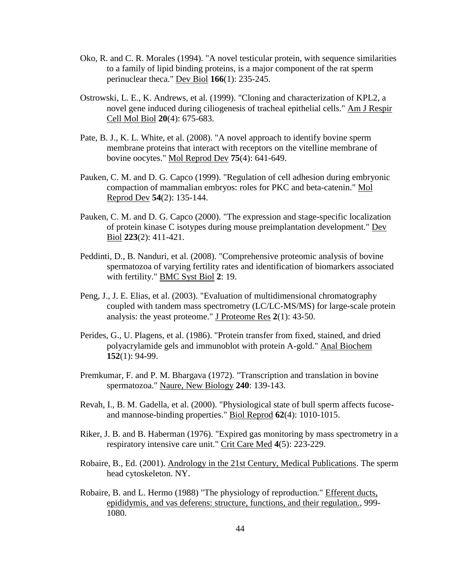- Oko, R. and C. R. Morales (1994). "A novel testicular protein, with sequence similarities to a family of lipid binding proteins, is a major component of the rat sperm perinuclear theca." Dev Biol **166**(1): 235-245.
- Ostrowski, L. E., K. Andrews, et al. (1999). "Cloning and characterization of KPL2, a novel gene induced during ciliogenesis of tracheal epithelial cells." Am J Respir Cell Mol Biol **20**(4): 675-683.
- Pate, B. J., K. L. White, et al. (2008). "A novel approach to identify bovine sperm membrane proteins that interact with receptors on the vitelline membrane of bovine oocytes." Mol Reprod Dev **75**(4): 641-649.
- Pauken, C. M. and D. G. Capco (1999). "Regulation of cell adhesion during embryonic compaction of mammalian embryos: roles for PKC and beta-catenin." Mol Reprod Dev **54**(2): 135-144.
- Pauken, C. M. and D. G. Capco (2000). "The expression and stage-specific localization of protein kinase C isotypes during mouse preimplantation development." Dev Biol **223**(2): 411-421.
- Peddinti, D., B. Nanduri, et al. (2008). "Comprehensive proteomic analysis of bovine spermatozoa of varying fertility rates and identification of biomarkers associated with fertility." BMC Syst Biol **2**: 19.
- Peng, J., J. E. Elias, et al. (2003). "Evaluation of multidimensional chromatography coupled with tandem mass spectrometry (LC/LC-MS/MS) for large-scale protein analysis: the yeast proteome." J Proteome Res **2**(1): 43-50.
- Perides, G., U. Plagens, et al. (1986). "Protein transfer from fixed, stained, and dried polyacrylamide gels and immunoblot with protein A-gold." Anal Biochem **152**(1): 94-99.
- Premkumar, F. and P. M. Bhargava (1972). "Transcription and translation in bovine spermatozoa." Naure, New Biology **240**: 139-143.
- Revah, I., B. M. Gadella, et al. (2000). "Physiological state of bull sperm affects fucoseand mannose-binding properties." Biol Reprod **62**(4): 1010-1015.
- Riker, J. B. and B. Haberman (1976). "Expired gas monitoring by mass spectrometry in a respiratory intensive care unit." Crit Care Med **4**(5): 223-229.
- Robaire, B., Ed. (2001). Andrology in the 21st Century, Medical Publications. The sperm head cytoskeleton. NY.
- Robaire, B. and L. Hermo (1988) "The physiology of reproduction." Efferent ducts, epididymis, and vas deferens: structure, functions, and their regulation., 999- 1080.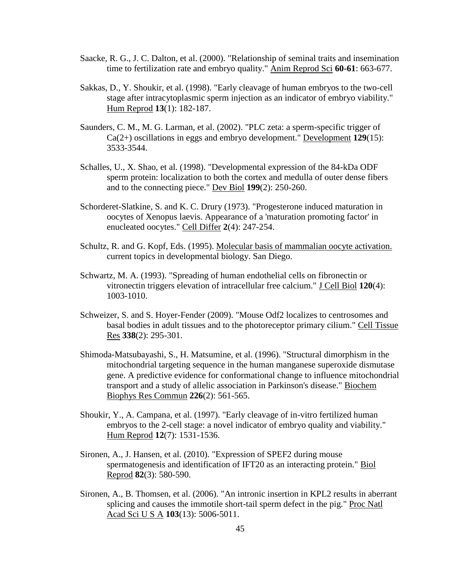- Saacke, R. G., J. C. Dalton, et al. (2000). "Relationship of seminal traits and insemination time to fertilization rate and embryo quality." Anim Reprod Sci **60-61**: 663-677.
- Sakkas, D., Y. Shoukir, et al. (1998). "Early cleavage of human embryos to the two-cell stage after intracytoplasmic sperm injection as an indicator of embryo viability." Hum Reprod **13**(1): 182-187.
- Saunders, C. M., M. G. Larman, et al. (2002). "PLC zeta: a sperm-specific trigger of Ca(2+) oscillations in eggs and embryo development." Development **129**(15): 3533-3544.
- Schalles, U., X. Shao, et al. (1998). "Developmental expression of the 84-kDa ODF sperm protein: localization to both the cortex and medulla of outer dense fibers and to the connecting piece." Dev Biol **199**(2): 250-260.
- Schorderet-Slatkine, S. and K. C. Drury (1973). "Progesterone induced maturation in oocytes of Xenopus laevis. Appearance of a 'maturation promoting factor' in enucleated oocytes." Cell Differ **2**(4): 247-254.
- Schultz, R. and G. Kopf, Eds. (1995). Molecular basis of mammalian oocyte activation. current topics in developmental biology. San Diego.
- Schwartz, M. A. (1993). "Spreading of human endothelial cells on fibronectin or vitronectin triggers elevation of intracellular free calcium." J Cell Biol **120**(4): 1003-1010.
- Schweizer, S. and S. Hoyer-Fender (2009). "Mouse Odf2 localizes to centrosomes and basal bodies in adult tissues and to the photoreceptor primary cilium." Cell Tissue Res **338**(2): 295-301.
- Shimoda-Matsubayashi, S., H. Matsumine, et al. (1996). "Structural dimorphism in the mitochondrial targeting sequence in the human manganese superoxide dismutase gene. A predictive evidence for conformational change to influence mitochondrial transport and a study of allelic association in Parkinson's disease." Biochem Biophys Res Commun **226**(2): 561-565.
- Shoukir, Y., A. Campana, et al. (1997). "Early cleavage of in-vitro fertilized human embryos to the 2-cell stage: a novel indicator of embryo quality and viability." Hum Reprod **12**(7): 1531-1536.
- Sironen, A., J. Hansen, et al. (2010). "Expression of SPEF2 during mouse spermatogenesis and identification of IFT20 as an interacting protein." Biol Reprod **82**(3): 580-590.
- Sironen, A., B. Thomsen, et al. (2006). "An intronic insertion in KPL2 results in aberrant splicing and causes the immotile short-tail sperm defect in the pig." Proc Natl Acad Sci U S A **103**(13): 5006-5011.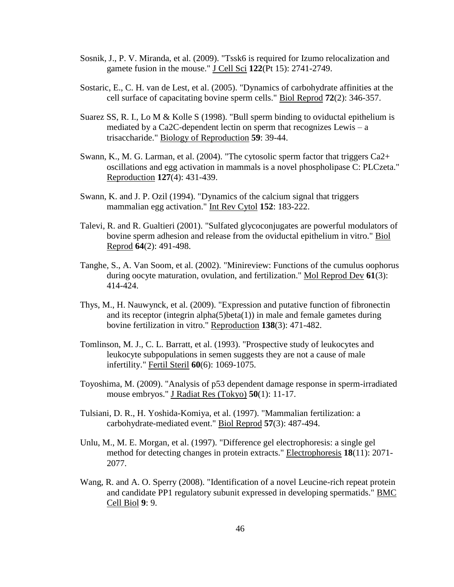- Sosnik, J., P. V. Miranda, et al. (2009). "Tssk6 is required for Izumo relocalization and gamete fusion in the mouse." J Cell Sci **122**(Pt 15): 2741-2749.
- Sostaric, E., C. H. van de Lest, et al. (2005). "Dynamics of carbohydrate affinities at the cell surface of capacitating bovine sperm cells." Biol Reprod **72**(2): 346-357.
- Suarez SS, R. I., Lo M & Kolle S (1998). "Bull sperm binding to oviductal epithelium is mediated by a Ca2C-dependent lectin on sperm that recognizes Lewis – a trisaccharide." Biology of Reproduction **59**: 39-44.
- Swann, K., M. G. Larman, et al. (2004). "The cytosolic sperm factor that triggers Ca2+ oscillations and egg activation in mammals is a novel phospholipase C: PLCzeta." Reproduction **127**(4): 431-439.
- Swann, K. and J. P. Ozil (1994). "Dynamics of the calcium signal that triggers mammalian egg activation." Int Rev Cytol **152**: 183-222.
- Talevi, R. and R. Gualtieri (2001). "Sulfated glycoconjugates are powerful modulators of bovine sperm adhesion and release from the oviductal epithelium in vitro." Biol Reprod **64**(2): 491-498.
- Tanghe, S., A. Van Soom, et al. (2002). "Minireview: Functions of the cumulus oophorus during oocyte maturation, ovulation, and fertilization." Mol Reprod Dev **61**(3): 414-424.
- Thys, M., H. Nauwynck, et al. (2009). "Expression and putative function of fibronectin and its receptor (integrin alpha $(5)$ beta $(1)$ ) in male and female gametes during bovine fertilization in vitro." Reproduction **138**(3): 471-482.
- Tomlinson, M. J., C. L. Barratt, et al. (1993). "Prospective study of leukocytes and leukocyte subpopulations in semen suggests they are not a cause of male infertility." Fertil Steril **60**(6): 1069-1075.
- Toyoshima, M. (2009). "Analysis of p53 dependent damage response in sperm-irradiated mouse embryos." J Radiat Res (Tokyo) **50**(1): 11-17.
- Tulsiani, D. R., H. Yoshida-Komiya, et al. (1997). "Mammalian fertilization: a carbohydrate-mediated event." Biol Reprod **57**(3): 487-494.
- Unlu, M., M. E. Morgan, et al. (1997). "Difference gel electrophoresis: a single gel method for detecting changes in protein extracts." Electrophoresis **18**(11): 2071- 2077.
- Wang, R. and A. O. Sperry (2008). "Identification of a novel Leucine-rich repeat protein and candidate PP1 regulatory subunit expressed in developing spermatids." BMC Cell Biol **9**: 9.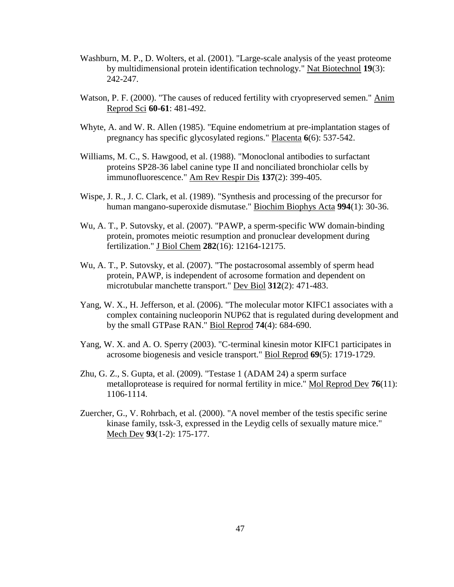- Washburn, M. P., D. Wolters, et al. (2001). "Large-scale analysis of the yeast proteome by multidimensional protein identification technology." Nat Biotechnol **19**(3): 242-247.
- Watson, P. F. (2000). "The causes of reduced fertility with cryopreserved semen." Anim Reprod Sci **60-61**: 481-492.
- Whyte, A. and W. R. Allen (1985). "Equine endometrium at pre-implantation stages of pregnancy has specific glycosylated regions." Placenta **6**(6): 537-542.
- Williams, M. C., S. Hawgood, et al. (1988). "Monoclonal antibodies to surfactant proteins SP28-36 label canine type II and nonciliated bronchiolar cells by immunofluorescence." Am Rev Respir Dis **137**(2): 399-405.
- Wispe, J. R., J. C. Clark, et al. (1989). "Synthesis and processing of the precursor for human mangano-superoxide dismutase." Biochim Biophys Acta **994**(1): 30-36.
- Wu, A. T., P. Sutovsky, et al. (2007). "PAWP, a sperm-specific WW domain-binding protein, promotes meiotic resumption and pronuclear development during fertilization." J Biol Chem **282**(16): 12164-12175.
- Wu, A. T., P. Sutovsky, et al. (2007). "The postacrosomal assembly of sperm head protein, PAWP, is independent of acrosome formation and dependent on microtubular manchette transport." Dev Biol **312**(2): 471-483.
- Yang, W. X., H. Jefferson, et al. (2006). "The molecular motor KIFC1 associates with a complex containing nucleoporin NUP62 that is regulated during development and by the small GTPase RAN." Biol Reprod **74**(4): 684-690.
- Yang, W. X. and A. O. Sperry (2003). "C-terminal kinesin motor KIFC1 participates in acrosome biogenesis and vesicle transport." Biol Reprod **69**(5): 1719-1729.
- Zhu, G. Z., S. Gupta, et al. (2009). "Testase 1 (ADAM 24) a sperm surface metalloprotease is required for normal fertility in mice." Mol Reprod Dev **76**(11): 1106-1114.
- Zuercher, G., V. Rohrbach, et al. (2000). "A novel member of the testis specific serine kinase family, tssk-3, expressed in the Leydig cells of sexually mature mice." Mech Dev **93**(1-2): 175-177.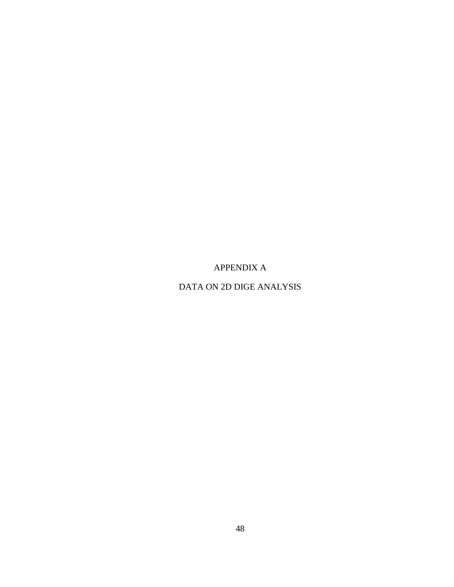APPENDIX A

<span id="page-59-1"></span><span id="page-59-0"></span>DATA ON 2D DIGE ANALYSIS